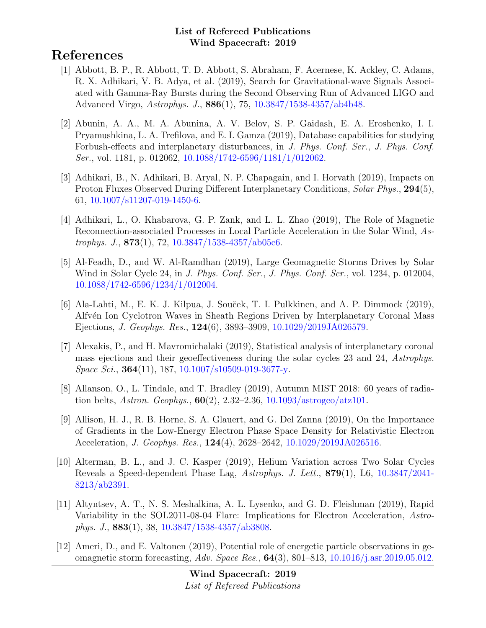# References

- [1] Abbott, B. P., R. Abbott, T. D. Abbott, S. Abraham, F. Acernese, K. Ackley, C. Adams, R. X. Adhikari, V. B. Adya, et al. (2019), Search for Gravitational-wave Signals Associated with Gamma-Ray Bursts during the Second Observing Run of Advanced LIGO and Advanced Virgo, Astrophys. J., 886(1), 75, [10.3847/1538-4357/ab4b48.](http://dx.doi.org/10.3847/1538-4357/ab4b48)
- [2] Abunin, A. A., M. A. Abunina, A. V. Belov, S. P. Gaidash, E. A. Eroshenko, I. I. Pryamushkina, L. A. Trefilova, and E. I. Gamza (2019), Database capabilities for studying Forbush-effects and interplanetary disturbances, in J. Phys. Conf. Ser., J. Phys. Conf. Ser., vol. 1181, p. 012062, [10.1088/1742-6596/1181/1/012062.](http://dx.doi.org/10.1088/1742-6596/1181/1/012062)
- [3] Adhikari, B., N. Adhikari, B. Aryal, N. P. Chapagain, and I. Horvath (2019), Impacts on Proton Fluxes Observed During Different Interplanetary Conditions, Solar Phys., 294(5), 61, [10.1007/s11207-019-1450-6.](http://dx.doi.org/10.1007/s11207-019-1450-6)
- [4] Adhikari, L., O. Khabarova, G. P. Zank, and L. L. Zhao (2019), The Role of Magnetic Reconnection-associated Processes in Local Particle Acceleration in the Solar Wind, Astrophys. J.,  $873(1)$ , 72,  $10.3847/1538-4357/ab05c6$ .
- [5] Al-Feadh, D., and W. Al-Ramdhan (2019), Large Geomagnetic Storms Drives by Solar Wind in Solar Cycle 24, in *J. Phys. Conf. Ser., J. Phys. Conf. Ser.*, vol. 1234, p. 012004, [10.1088/1742-6596/1234/1/012004.](http://dx.doi.org/10.1088/1742-6596/1234/1/012004)
- [6] Ala-Lahti, M., E. K. J. Kilpua, J. Souček, T. I. Pulkkinen, and A. P. Dimmock (2019), Alfv´en Ion Cyclotron Waves in Sheath Regions Driven by Interplanetary Coronal Mass Ejections, J. Geophys. Res., 124(6), 3893–3909, [10.1029/2019JA026579.](http://dx.doi.org/10.1029/2019JA026579)
- [7] Alexakis, P., and H. Mavromichalaki (2019), Statistical analysis of interplanetary coronal mass ejections and their geoeffectiveness during the solar cycles 23 and 24, Astrophys.  $Space\, Sci., 364(11), 187, 10.1007/s10509-019-3677-y.$  $Space\, Sci., 364(11), 187, 10.1007/s10509-019-3677-y.$
- [8] Allanson, O., L. Tindale, and T. Bradley (2019), Autumn MIST 2018: 60 years of radiation belts, *Astron. Geophys.*,  $60(2)$ , 2.32–2.36, [10.1093/astrogeo/atz101.](http://dx.doi.org/10.1093/astrogeo/atz101)
- [9] Allison, H. J., R. B. Horne, S. A. Glauert, and G. Del Zanna (2019), On the Importance of Gradients in the Low-Energy Electron Phase Space Density for Relativistic Electron Acceleration, J. Geophys. Res., 124(4), 2628–2642, [10.1029/2019JA026516.](http://dx.doi.org/10.1029/2019JA026516)
- [10] Alterman, B. L., and J. C. Kasper (2019), Helium Variation across Two Solar Cycles Reveals a Speed-dependent Phase Lag, Astrophys. J. Lett., 879(1), L6, [10.3847/2041-](http://dx.doi.org/10.3847/2041-8213/ab2391) [8213/ab2391.](http://dx.doi.org/10.3847/2041-8213/ab2391)
- [11] Altyntsev, A. T., N. S. Meshalkina, A. L. Lysenko, and G. D. Fleishman (2019), Rapid Variability in the SOL2011-08-04 Flare: Implications for Electron Acceleration, Astrophys. J., 883(1), 38, [10.3847/1538-4357/ab3808.](http://dx.doi.org/10.3847/1538-4357/ab3808)
- [12] Ameri, D., and E. Valtonen (2019), Potential role of energetic particle observations in geomagnetic storm forecasting, Adv. Space Res., 64(3), 801–813, [10.1016/j.asr.2019.05.012.](http://dx.doi.org/10.1016/j.asr.2019.05.012)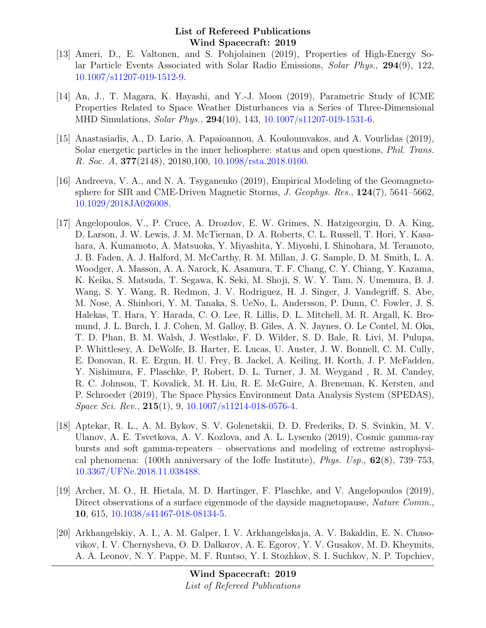- [13] Ameri, D., E. Valtonen, and S. Pohjolainen (2019), Properties of High-Energy Solar Particle Events Associated with Solar Radio Emissions, Solar Phys., 294(9), 122, [10.1007/s11207-019-1512-9.](http://dx.doi.org/10.1007/s11207-019-1512-9)
- [14] An, J., T. Magara, K. Hayashi, and Y.-J. Moon (2019), Parametric Study of ICME Properties Related to Space Weather Disturbances via a Series of Three-Dimensional MHD Simulations, *Solar Phys.*, **294**(10), 143, [10.1007/s11207-019-1531-6.](http://dx.doi.org/10.1007/s11207-019-1531-6)
- [15] Anastasiadis, A., D. Lario, A. Papaioannou, A. Kouloumvakos, and A. Vourlidas (2019), Solar energetic particles in the inner heliosphere: status and open questions, Phil. Trans. R. Soc. A, 377(2148), 20180,100, [10.1098/rsta.2018.0100.](http://dx.doi.org/10.1098/rsta.2018.0100)
- [16] Andreeva, V. A., and N. A. Tsyganenko (2019), Empirical Modeling of the Geomagnetosphere for SIR and CME-Driven Magnetic Storms, J. Geophys. Res., 124(7), 5641–5662, [10.1029/2018JA026008.](http://dx.doi.org/10.1029/2018JA026008)
- [17] Angelopoulos, V., P. Cruce, A. Drozdov, E. W. Grimes, N. Hatzigeorgiu, D. A. King, D. Larson, J. W. Lewis, J. M. McTiernan, D. A. Roberts, C. L. Russell, T. Hori, Y. Kasahara, A. Kumamoto, A. Matsuoka, Y. Miyashita, Y. Miyoshi, I. Shinohara, M. Teramoto, J. B. Faden, A. J. Halford, M. McCarthy, R. M. Millan, J. G. Sample, D. M. Smith, L. A. Woodger, A. Masson, A. A. Narock, K. Asamura, T. F. Chang, C. Y. Chiang, Y. Kazama, K. Keika, S. Matsuda, T. Segawa, K. Seki, M. Shoji, S. W. Y. Tam, N. Umemura, B. J. Wang, S. Y. Wang, R. Redmon, J. V. Rodriguez, H. J. Singer, J. Vandegriff, S. Abe, M. Nose, A. Shinbori, Y. M. Tanaka, S. UeNo, L. Andersson, P. Dunn, C. Fowler, J. S. Halekas, T. Hara, Y. Harada, C. O. Lee, R. Lillis, D. L. Mitchell, M. R. Argall, K. Bromund, J. L. Burch, I. J. Cohen, M. Galloy, B. Giles, A. N. Jaynes, O. Le Contel, M. Oka, T. D. Phan, B. M. Walsh, J. Westlake, F. D. Wilder, S. D. Bale, R. Livi, M. Pulupa, P. Whittlesey, A. DeWolfe, B. Harter, E. Lucas, U. Auster, J. W. Bonnell, C. M. Cully, E. Donovan, R. E. Ergun, H. U. Frey, B. Jackel, A. Keiling, H. Korth, J. P. McFadden, Y. Nishimura, F. Plaschke, P. Robert, D. L. Turner, J. M. Weygand , R. M. Candey, R. C. Johnson, T. Kovalick, M. H. Liu, R. E. McGuire, A. Breneman, K. Kersten, and P. Schroeder (2019), The Space Physics Environment Data Analysis System (SPEDAS), Space Sci. Rev., 215(1), 9, [10.1007/s11214-018-0576-4.](http://dx.doi.org/10.1007/s11214-018-0576-4)
- [18] Aptekar, R. L., A. M. Bykov, S. V. Golenetskii, D. D. Frederiks, D. S. Svinkin, M. V. Ulanov, A. E. Tsvetkova, A. V. Kozlova, and A. L. Lysenko (2019), Cosmic gamma-ray bursts and soft gamma-repeaters – observations and modeling of extreme astrophysical phenomena: (100th anniversary of the Ioffe Institute), *Phys. Usp.*,  $62(8)$ ,  $739-753$ , [10.3367/UFNe.2018.11.038488.](http://dx.doi.org/10.3367/UFNe.2018.11.038488)
- [19] Archer, M. O., H. Hietala, M. D. Hartinger, F. Plaschke, and V. Angelopoulos (2019), Direct observations of a surface eigenmode of the dayside magnetopause, Nature Comm., 10, 615, [10.1038/s41467-018-08134-5.](http://dx.doi.org/10.1038/s41467-018-08134-5)
- [20] Arkhangelskiy, A. I., A. M. Galper, I. V. Arkhangelskaja, A. V. Bakaldin, E. N. Chasovikov, I. V. Chernysheva, O. D. Dalkarov, A. E. Egorov, Y. V. Gusakov, M. D. Kheymits, A. A. Leonov, N. Y. Pappe, M. F. Runtso, Y. I. Stozhkov, S. I. Suchkov, N. P. Topchiev,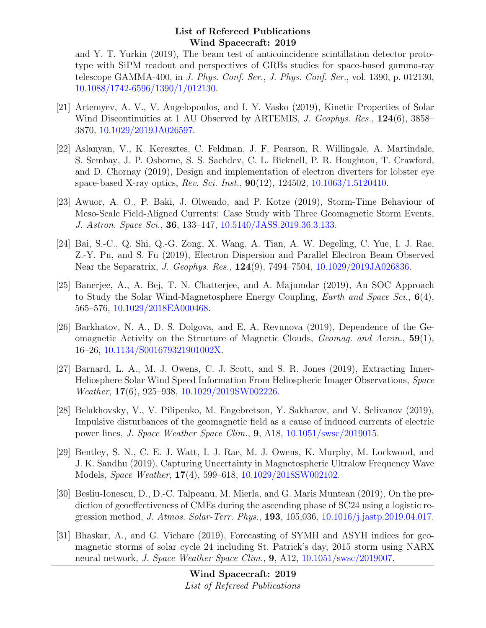and Y. T. Yurkin (2019), The beam test of anticoincidence scintillation detector prototype with SiPM readout and perspectives of GRBs studies for space-based gamma-ray telescope GAMMA-400, in J. Phys. Conf. Ser., J. Phys. Conf. Ser., vol. 1390, p. 012130, [10.1088/1742-6596/1390/1/012130.](http://dx.doi.org/10.1088/1742-6596/1390/1/012130)

- [21] Artemyev, A. V., V. Angelopoulos, and I. Y. Vasko (2019), Kinetic Properties of Solar Wind Discontinuities at 1 AU Observed by ARTEMIS, J. Geophys. Res., 124(6), 3858– 3870, [10.1029/2019JA026597.](http://dx.doi.org/10.1029/2019JA026597)
- [22] Aslanyan, V., K. Keresztes, C. Feldman, J. F. Pearson, R. Willingale, A. Martindale, S. Sembay, J. P. Osborne, S. S. Sachdev, C. L. Bicknell, P. R. Houghton, T. Crawford, and D. Chornay (2019), Design and implementation of electron diverters for lobster eye space-based X-ray optics, Rev. Sci. Inst., 90(12), 124502, [10.1063/1.5120410.](http://dx.doi.org/10.1063/1.5120410)
- [23] Awuor, A. O., P. Baki, J. Olwendo, and P. Kotze (2019), Storm-Time Behaviour of Meso-Scale Field-Aligned Currents: Case Study with Three Geomagnetic Storm Events, J. Astron. Space Sci., 36, 133–147, [10.5140/JASS.2019.36.3.133.](http://dx.doi.org/10.5140/JASS.2019.36.3.133)
- [24] Bai, S.-C., Q. Shi, Q.-G. Zong, X. Wang, A. Tian, A. W. Degeling, C. Yue, I. J. Rae, Z.-Y. Pu, and S. Fu (2019), Electron Dispersion and Parallel Electron Beam Observed Near the Separatrix, J. Geophys. Res., 124(9), 7494–7504, [10.1029/2019JA026836.](http://dx.doi.org/10.1029/2019JA026836)
- [25] Banerjee, A., A. Bej, T. N. Chatterjee, and A. Majumdar (2019), An SOC Approach to Study the Solar Wind-Magnetosphere Energy Coupling, *Earth and Space Sci.*, 6(4), 565–576, [10.1029/2018EA000468.](http://dx.doi.org/10.1029/2018EA000468)
- [26] Barkhatov, N. A., D. S. Dolgova, and E. A. Revunova (2019), Dependence of the Geomagnetic Activity on the Structure of Magnetic Clouds, Geomag. and Aeron., 59(1), 16–26, [10.1134/S001679321901002X.](http://dx.doi.org/10.1134/S001679321901002X)
- [27] Barnard, L. A., M. J. Owens, C. J. Scott, and S. R. Jones (2019), Extracting Inner-Heliosphere Solar Wind Speed Information From Heliospheric Imager Observations, Space Weather, 17(6), 925–938, [10.1029/2019SW002226.](http://dx.doi.org/10.1029/2019SW002226)
- [28] Belakhovsky, V., V. Pilipenko, M. Engebretson, Y. Sakharov, and V. Selivanov (2019), Impulsive disturbances of the geomagnetic field as a cause of induced currents of electric power lines, J. Space Weather Space Clim., 9, A18, [10.1051/swsc/2019015.](http://dx.doi.org/10.1051/swsc/2019015)
- [29] Bentley, S. N., C. E. J. Watt, I. J. Rae, M. J. Owens, K. Murphy, M. Lockwood, and J. K. Sandhu (2019), Capturing Uncertainty in Magnetospheric Ultralow Frequency Wave Models, Space Weather, 17(4), 599–618, [10.1029/2018SW002102.](http://dx.doi.org/10.1029/2018SW002102)
- [30] Besliu-Ionescu, D., D.-C. Talpeanu, M. Mierla, and G. Maris Muntean (2019), On the prediction of geoeffectiveness of CMEs during the ascending phase of SC24 using a logistic regression method, J. Atmos. Solar-Terr. Phys., 193, 105,036, [10.1016/j.jastp.2019.04.017.](http://dx.doi.org/10.1016/j.jastp.2019.04.017)
- [31] Bhaskar, A., and G. Vichare (2019), Forecasting of SYMH and ASYH indices for geomagnetic storms of solar cycle 24 including St. Patrick's day, 2015 storm using NARX neural network, J. Space Weather Space Clim., 9, A12, [10.1051/swsc/2019007.](http://dx.doi.org/10.1051/swsc/2019007)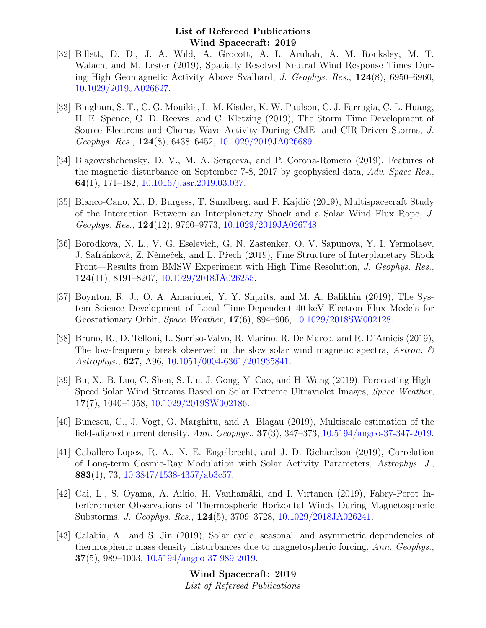- [32] Billett, D. D., J. A. Wild, A. Grocott, A. L. Aruliah, A. M. Ronksley, M. T. Walach, and M. Lester (2019), Spatially Resolved Neutral Wind Response Times During High Geomagnetic Activity Above Svalbard, J. Geophys. Res., 124(8), 6950–6960, [10.1029/2019JA026627.](http://dx.doi.org/10.1029/2019JA026627)
- [33] Bingham, S. T., C. G. Mouikis, L. M. Kistler, K. W. Paulson, C. J. Farrugia, C. L. Huang, H. E. Spence, G. D. Reeves, and C. Kletzing (2019), The Storm Time Development of Source Electrons and Chorus Wave Activity During CME- and CIR-Driven Storms, J. Geophys. Res., 124(8), 6438–6452, [10.1029/2019JA026689.](http://dx.doi.org/10.1029/2019JA026689)
- [34] Blagoveshchensky, D. V., M. A. Sergeeva, and P. Corona-Romero (2019), Features of the magnetic disturbance on September 7-8, 2017 by geophysical data, Adv. Space Res., 64(1), 171–182, [10.1016/j.asr.2019.03.037.](http://dx.doi.org/10.1016/j.asr.2019.03.037)
- [35] Blanco-Cano, X., D. Burgess, T. Sundberg, and P. Kajdič (2019), Multispacecraft Study of the Interaction Between an Interplanetary Shock and a Solar Wind Flux Rope, J. Geophys. Res., 124(12), 9760–9773, [10.1029/2019JA026748.](http://dx.doi.org/10.1029/2019JA026748)
- [36] Borodkova, N. L., V. G. Eselevich, G. N. Zastenker, O. V. Sapunova, Y. I. Yermolaev, J. Safránková, Z. Němeček, and L. Přech (2019), Fine Structure of Interplanetary Shock Front—Results from BMSW Experiment with High Time Resolution, J. Geophys. Res., 124(11), 8191–8207, [10.1029/2018JA026255.](http://dx.doi.org/10.1029/2018JA026255)
- [37] Boynton, R. J., O. A. Amariutei, Y. Y. Shprits, and M. A. Balikhin (2019), The System Science Development of Local Time-Dependent 40-keV Electron Flux Models for Geostationary Orbit, Space Weather, 17(6), 894–906, [10.1029/2018SW002128.](http://dx.doi.org/10.1029/2018SW002128)
- [38] Bruno, R., D. Telloni, L. Sorriso-Valvo, R. Marino, R. De Marco, and R. D'Amicis (2019), The low-frequency break observed in the slow solar wind magnetic spectra, Astron.  $\mathcal{C}$ Astrophys., 627, A96, [10.1051/0004-6361/201935841.](http://dx.doi.org/10.1051/0004-6361/201935841)
- [39] Bu, X., B. Luo, C. Shen, S. Liu, J. Gong, Y. Cao, and H. Wang (2019), Forecasting High-Speed Solar Wind Streams Based on Solar Extreme Ultraviolet Images, Space Weather, 17(7), 1040–1058, [10.1029/2019SW002186.](http://dx.doi.org/10.1029/2019SW002186)
- [40] Bunescu, C., J. Vogt, O. Marghitu, and A. Blagau (2019), Multiscale estimation of the field-aligned current density, Ann. Geophys., 37(3), 347–373, [10.5194/angeo-37-347-2019.](http://dx.doi.org/10.5194/angeo-37-347-2019)
- [41] Caballero-Lopez, R. A., N. E. Engelbrecht, and J. D. Richardson (2019), Correlation of Long-term Cosmic-Ray Modulation with Solar Activity Parameters, Astrophys. J., 883(1), 73,  $10.3847/1538-4357/ab3c57$ .
- [42] Cai, L., S. Oyama, A. Aikio, H. Vanhamäki, and I. Virtanen (2019), Fabry-Perot Interferometer Observations of Thermospheric Horizontal Winds During Magnetospheric Substorms, J. Geophys. Res., 124(5), 3709–3728, [10.1029/2018JA026241.](http://dx.doi.org/10.1029/2018JA026241)
- [43] Calabia, A., and S. Jin (2019), Solar cycle, seasonal, and asymmetric dependencies of thermospheric mass density disturbances due to magnetospheric forcing, Ann. Geophys.,  $37(5)$ , 989–1003, [10.5194/angeo-37-989-2019.](http://dx.doi.org/10.5194/angeo-37-989-2019)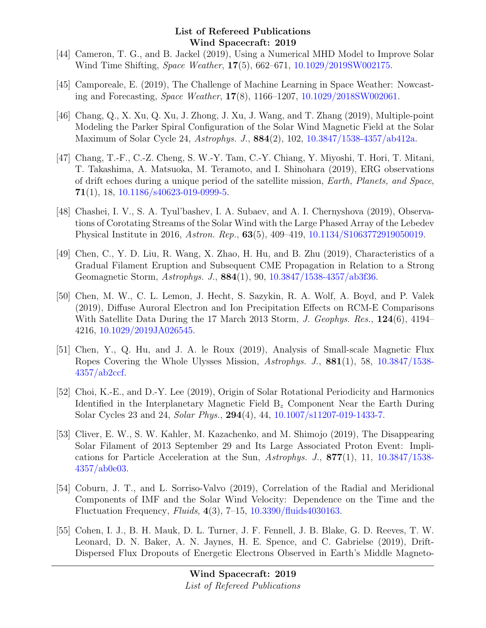- [44] Cameron, T. G., and B. Jackel (2019), Using a Numerical MHD Model to Improve Solar Wind Time Shifting, Space Weather, 17(5), 662–671, [10.1029/2019SW002175.](http://dx.doi.org/10.1029/2019SW002175)
- [45] Camporeale, E. (2019), The Challenge of Machine Learning in Space Weather: Nowcasting and Forecasting, Space Weather, 17(8), 1166–1207, [10.1029/2018SW002061.](http://dx.doi.org/10.1029/2018SW002061)
- [46] Chang, Q., X. Xu, Q. Xu, J. Zhong, J. Xu, J. Wang, and T. Zhang (2019), Multiple-point Modeling the Parker Spiral Configuration of the Solar Wind Magnetic Field at the Solar Maximum of Solar Cycle 24, Astrophys. J., 884(2), 102, [10.3847/1538-4357/ab412a.](http://dx.doi.org/10.3847/1538-4357/ab412a)
- [47] Chang, T.-F., C.-Z. Cheng, S. W.-Y. Tam, C.-Y. Chiang, Y. Miyoshi, T. Hori, T. Mitani, T. Takashima, A. Matsuoka, M. Teramoto, and I. Shinohara (2019), ERG observations of drift echoes during a unique period of the satellite mission, Earth, Planets, and Space,  $71(1)$ , 18, [10.1186/s40623-019-0999-5.](http://dx.doi.org/10.1186/s40623-019-0999-5)
- [48] Chashei, I. V., S. A. Tyul'bashev, I. A. Subaev, and A. I. Chernyshova (2019), Observations of Corotating Streams of the Solar Wind with the Large Phased Array of the Lebedev Physical Institute in 2016, Astron. Rep., 63(5), 409–419, [10.1134/S1063772919050019.](http://dx.doi.org/10.1134/S1063772919050019)
- [49] Chen, C., Y. D. Liu, R. Wang, X. Zhao, H. Hu, and B. Zhu (2019), Characteristics of a Gradual Filament Eruption and Subsequent CME Propagation in Relation to a Strong Geomagnetic Storm, Astrophys. J., 884(1), 90, [10.3847/1538-4357/ab3f36.](http://dx.doi.org/10.3847/1538-4357/ab3f36)
- [50] Chen, M. W., C. L. Lemon, J. Hecht, S. Sazykin, R. A. Wolf, A. Boyd, and P. Valek (2019), Diffuse Auroral Electron and Ion Precipitation Effects on RCM-E Comparisons With Satellite Data During the 17 March 2013 Storm, J. Geophys. Res., 124(6), 4194– 4216, [10.1029/2019JA026545.](http://dx.doi.org/10.1029/2019JA026545)
- [51] Chen, Y., Q. Hu, and J. A. le Roux (2019), Analysis of Small-scale Magnetic Flux Ropes Covering the Whole Ulysses Mission, Astrophys. J., 881(1), 58, [10.3847/1538-](http://dx.doi.org/10.3847/1538-4357/ab2ccf) [4357/ab2ccf.](http://dx.doi.org/10.3847/1538-4357/ab2ccf)
- [52] Choi, K.-E., and D.-Y. Lee (2019), Origin of Solar Rotational Periodicity and Harmonics Identified in the Interplanetary Magnetic Field  $B_z$  Component Near the Earth During Solar Cycles 23 and 24, Solar Phys., 294(4), 44, [10.1007/s11207-019-1433-7.](http://dx.doi.org/10.1007/s11207-019-1433-7)
- [53] Cliver, E. W., S. W. Kahler, M. Kazachenko, and M. Shimojo (2019), The Disappearing Solar Filament of 2013 September 29 and Its Large Associated Proton Event: Implications for Particle Acceleration at the Sun, Astrophys. J., 877(1), 11, [10.3847/1538-](http://dx.doi.org/10.3847/1538-4357/ab0e03) [4357/ab0e03.](http://dx.doi.org/10.3847/1538-4357/ab0e03)
- [54] Coburn, J. T., and L. Sorriso-Valvo (2019), Correlation of the Radial and Meridional Components of IMF and the Solar Wind Velocity: Dependence on the Time and the Fluctuation Frequency, Fluids, 4(3), 7–15, [10.3390/fluids4030163.](http://dx.doi.org/10.3390/fluids4030163)
- [55] Cohen, I. J., B. H. Mauk, D. L. Turner, J. F. Fennell, J. B. Blake, G. D. Reeves, T. W. Leonard, D. N. Baker, A. N. Jaynes, H. E. Spence, and C. Gabrielse (2019), Drift-Dispersed Flux Dropouts of Energetic Electrons Observed in Earth's Middle Magneto-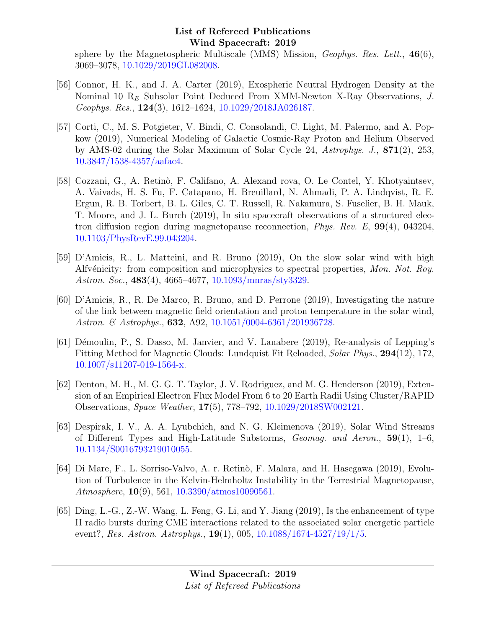sphere by the Magnetospheric Multiscale (MMS) Mission, *Geophys. Res. Lett.*,  $46(6)$ , 3069–3078, [10.1029/2019GL082008.](http://dx.doi.org/10.1029/2019GL082008)

- [56] Connor, H. K., and J. A. Carter (2019), Exospheric Neutral Hydrogen Density at the Nominal 10  $R_E$  Subsolar Point Deduced From XMM-Newton X-Ray Observations, J. Geophys. Res., 124(3), 1612–1624, [10.1029/2018JA026187.](http://dx.doi.org/10.1029/2018JA026187)
- [57] Corti, C., M. S. Potgieter, V. Bindi, C. Consolandi, C. Light, M. Palermo, and A. Popkow (2019), Numerical Modeling of Galactic Cosmic-Ray Proton and Helium Observed by AMS-02 during the Solar Maximum of Solar Cycle 24, Astrophys. J., 871(2), 253, [10.3847/1538-4357/aafac4.](http://dx.doi.org/10.3847/1538-4357/aafac4)
- [58] Cozzani, G., A. Retinò, F. Califano, A. Alexand rova, O. Le Contel, Y. Khotyaintsev, A. Vaivads, H. S. Fu, F. Catapano, H. Breuillard, N. Ahmadi, P. A. Lindqvist, R. E. Ergun, R. B. Torbert, B. L. Giles, C. T. Russell, R. Nakamura, S. Fuselier, B. H. Mauk, T. Moore, and J. L. Burch (2019), In situ spacecraft observations of a structured electron diffusion region during magnetopause reconnection, Phys. Rev. E, 99(4), 043204, [10.1103/PhysRevE.99.043204.](http://dx.doi.org/10.1103/PhysRevE.99.043204)
- [59] D'Amicis, R., L. Matteini, and R. Bruno (2019), On the slow solar wind with high Alfvénicity: from composition and microphysics to spectral properties, Mon. Not. Roy. Astron. Soc., 483(4), 4665–4677, [10.1093/mnras/sty3329.](http://dx.doi.org/10.1093/mnras/sty3329)
- [60] D'Amicis, R., R. De Marco, R. Bruno, and D. Perrone (2019), Investigating the nature of the link between magnetic field orientation and proton temperature in the solar wind, Astron. & Astrophys., **632**, A92, [10.1051/0004-6361/201936728.](http://dx.doi.org/10.1051/0004-6361/201936728)
- [61] Démoulin, P., S. Dasso, M. Janvier, and V. Lanabere (2019), Re-analysis of Lepping's Fitting Method for Magnetic Clouds: Lundquist Fit Reloaded, Solar Phys., 294(12), 172, [10.1007/s11207-019-1564-x.](http://dx.doi.org/10.1007/s11207-019-1564-x)
- [62] Denton, M. H., M. G. G. T. Taylor, J. V. Rodriguez, and M. G. Henderson (2019), Extension of an Empirical Electron Flux Model From 6 to 20 Earth Radii Using Cluster/RAPID Observations, Space Weather, 17(5), 778–792, [10.1029/2018SW002121.](http://dx.doi.org/10.1029/2018SW002121)
- [63] Despirak, I. V., A. A. Lyubchich, and N. G. Kleimenova (2019), Solar Wind Streams of Different Types and High-Latitude Substorms, Geomag. and Aeron., 59(1), 1–6, [10.1134/S0016793219010055.](http://dx.doi.org/10.1134/S0016793219010055)
- [64] Di Mare, F., L. Sorriso-Valvo, A. r. Retinò, F. Malara, and H. Hasegawa (2019), Evolution of Turbulence in the Kelvin-Helmholtz Instability in the Terrestrial Magnetopause, Atmosphere, 10(9), 561, [10.3390/atmos10090561.](http://dx.doi.org/10.3390/atmos10090561)
- [65] Ding, L.-G., Z.-W. Wang, L. Feng, G. Li, and Y. Jiang (2019), Is the enhancement of type II radio bursts during CME interactions related to the associated solar energetic particle event?, Res. Astron. Astrophys.,  $19(1)$ , 005,  $10.1088/1674-4527/19/1/5$ .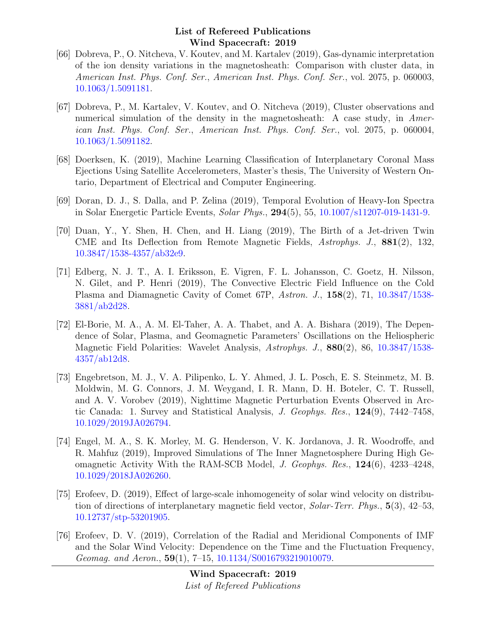- [66] Dobreva, P., O. Nitcheva, V. Koutev, and M. Kartalev (2019), Gas-dynamic interpretation of the ion density variations in the magnetosheath: Comparison with cluster data, in American Inst. Phys. Conf. Ser., American Inst. Phys. Conf. Ser., vol. 2075, p. 060003, [10.1063/1.5091181.](http://dx.doi.org/10.1063/1.5091181)
- [67] Dobreva, P., M. Kartalev, V. Koutev, and O. Nitcheva (2019), Cluster observations and numerical simulation of the density in the magnetosheath: A case study, in American Inst. Phys. Conf. Ser., American Inst. Phys. Conf. Ser., vol. 2075, p. 060004, [10.1063/1.5091182.](http://dx.doi.org/10.1063/1.5091182)
- [68] Doerksen, K. (2019), Machine Learning Classification of Interplanetary Coronal Mass Ejections Using Satellite Accelerometers, Master's thesis, The University of Western Ontario, Department of Electrical and Computer Engineering.
- [69] Doran, D. J., S. Dalla, and P. Zelina (2019), Temporal Evolution of Heavy-Ion Spectra in Solar Energetic Particle Events, Solar Phys., 294(5), 55, [10.1007/s11207-019-1431-9.](http://dx.doi.org/10.1007/s11207-019-1431-9)
- [70] Duan, Y., Y. Shen, H. Chen, and H. Liang (2019), The Birth of a Jet-driven Twin CME and Its Deflection from Remote Magnetic Fields, Astrophys. J., 881(2), 132, [10.3847/1538-4357/ab32e9.](http://dx.doi.org/10.3847/1538-4357/ab32e9)
- [71] Edberg, N. J. T., A. I. Eriksson, E. Vigren, F. L. Johansson, C. Goetz, H. Nilsson, N. Gilet, and P. Henri (2019), The Convective Electric Field Influence on the Cold Plasma and Diamagnetic Cavity of Comet 67P, Astron. J., 158(2), 71, [10.3847/1538-](http://dx.doi.org/10.3847/1538-3881/ab2d28) [3881/ab2d28.](http://dx.doi.org/10.3847/1538-3881/ab2d28)
- [72] El-Borie, M. A., A. M. El-Taher, A. A. Thabet, and A. A. Bishara (2019), The Dependence of Solar, Plasma, and Geomagnetic Parameters' Oscillations on the Heliospheric Magnetic Field Polarities: Wavelet Analysis, Astrophys. J., 880(2), 86, [10.3847/1538-](http://dx.doi.org/10.3847/1538-4357/ab12d8) [4357/ab12d8.](http://dx.doi.org/10.3847/1538-4357/ab12d8)
- [73] Engebretson, M. J., V. A. Pilipenko, L. Y. Ahmed, J. L. Posch, E. S. Steinmetz, M. B. Moldwin, M. G. Connors, J. M. Weygand, I. R. Mann, D. H. Boteler, C. T. Russell, and A. V. Vorobev (2019), Nighttime Magnetic Perturbation Events Observed in Arctic Canada: 1. Survey and Statistical Analysis, J. Geophys. Res., 124(9), 7442–7458, [10.1029/2019JA026794.](http://dx.doi.org/10.1029/2019JA026794)
- [74] Engel, M. A., S. K. Morley, M. G. Henderson, V. K. Jordanova, J. R. Woodroffe, and R. Mahfuz (2019), Improved Simulations of The Inner Magnetosphere During High Geomagnetic Activity With the RAM-SCB Model, J. Geophys. Res., 124(6), 4233–4248, [10.1029/2018JA026260.](http://dx.doi.org/10.1029/2018JA026260)
- [75] Erofeev, D. (2019), Effect of large-scale inhomogeneity of solar wind velocity on distribution of directions of interplanetary magnetic field vector, Solar-Terr. Phys., 5(3), 42–53, [10.12737/stp-53201905.](http://dx.doi.org/10.12737/stp-53201905)
- [76] Erofeev, D. V. (2019), Correlation of the Radial and Meridional Components of IMF and the Solar Wind Velocity: Dependence on the Time and the Fluctuation Frequency, Geomag. and Aeron.,  $59(1)$ ,  $7-15$ ,  $10.1134/S0016793219010079$ .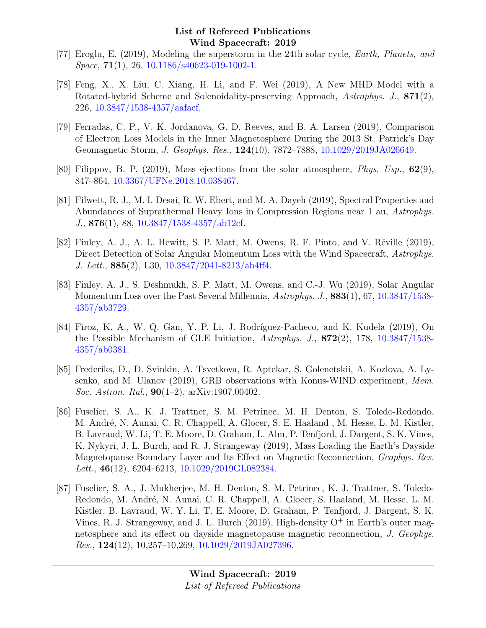- [77] Eroglu, E. (2019), Modeling the superstorm in the 24th solar cycle, Earth, Planets, and Space, **71**(1), 26, [10.1186/s40623-019-1002-1.](http://dx.doi.org/10.1186/s40623-019-1002-1)
- [78] Feng, X., X. Liu, C. Xiang, H. Li, and F. Wei (2019), A New MHD Model with a Rotated-hybrid Scheme and Solenoidality-preserving Approach, Astrophys. J., 871(2), 226, [10.3847/1538-4357/aafacf.](http://dx.doi.org/10.3847/1538-4357/aafacf)
- [79] Ferradas, C. P., V. K. Jordanova, G. D. Reeves, and B. A. Larsen (2019), Comparison of Electron Loss Models in the Inner Magnetosphere During the 2013 St. Patrick's Day Geomagnetic Storm, J. Geophys. Res., 124(10), 7872–7888, [10.1029/2019JA026649.](http://dx.doi.org/10.1029/2019JA026649)
- [80] Filippov, B. P. (2019), Mass ejections from the solar atmosphere, *Phys.* Usp.,  $62(9)$ , 847–864, [10.3367/UFNe.2018.10.038467.](http://dx.doi.org/10.3367/UFNe.2018.10.038467)
- [81] Filwett, R. J., M. I. Desai, R. W. Ebert, and M. A. Dayeh (2019), Spectral Properties and Abundances of Suprathermal Heavy Ions in Compression Regions near 1 au, Astrophys. J., 876(1), 88, [10.3847/1538-4357/ab12cf.](http://dx.doi.org/10.3847/1538-4357/ab12cf)
- [82] Finley, A. J., A. L. Hewitt, S. P. Matt, M. Owens, R. F. Pinto, and V. Réville (2019), Direct Detection of Solar Angular Momentum Loss with the Wind Spacecraft, Astrophys. J. Lett., 885(2), L30, [10.3847/2041-8213/ab4ff4.](http://dx.doi.org/10.3847/2041-8213/ab4ff4)
- [83] Finley, A. J., S. Deshmukh, S. P. Matt, M. Owens, and C.-J. Wu (2019), Solar Angular Momentum Loss over the Past Several Millennia, Astrophys. J., 883(1), 67, [10.3847/1538-](http://dx.doi.org/10.3847/1538-4357/ab3729) [4357/ab3729.](http://dx.doi.org/10.3847/1538-4357/ab3729)
- [84] Firoz, K. A., W. Q. Gan, Y. P. Li, J. Rodríguez-Pacheco, and K. Kudela (2019), On the Possible Mechanism of GLE Initiation, Astrophys. J., 872(2), 178, [10.3847/1538-](http://dx.doi.org/10.3847/1538-4357/ab0381) [4357/ab0381.](http://dx.doi.org/10.3847/1538-4357/ab0381)
- [85] Frederiks, D., D. Svinkin, A. Tsvetkova, R. Aptekar, S. Golenetskii, A. Kozlova, A. Lysenko, and M. Ulanov (2019), GRB observations with Konus-WIND experiment, Mem. Soc. Astron. Ital.,  $90(1-2)$ , arXiv:1907.00402.
- [86] Fuselier, S. A., K. J. Trattner, S. M. Petrinec, M. H. Denton, S. Toledo-Redondo, M. André, N. Aunai, C. R. Chappell, A. Glocer, S. E. Haaland, M. Hesse, L. M. Kistler, B. Lavraud, W. Li, T. E. Moore, D. Graham, L. Alm, P. Tenfjord, J. Dargent, S. K. Vines, K. Nykyri, J. L. Burch, and R. J. Strangeway (2019), Mass Loading the Earth's Dayside Magnetopause Boundary Layer and Its Effect on Magnetic Reconnection, Geophys. Res. Lett., 46(12), 6204–6213, [10.1029/2019GL082384.](http://dx.doi.org/10.1029/2019GL082384)
- [87] Fuselier, S. A., J. Mukherjee, M. H. Denton, S. M. Petrinec, K. J. Trattner, S. Toledo-Redondo, M. André, N. Aunai, C. R. Chappell, A. Glocer, S. Haaland, M. Hesse, L. M. Kistler, B. Lavraud, W. Y. Li, T. E. Moore, D. Graham, P. Tenfjord, J. Dargent, S. K. Vines, R. J. Strangeway, and J. L. Burch  $(2019)$ , High-density  $O<sup>+</sup>$  in Earth's outer magnetosphere and its effect on dayside magnetopause magnetic reconnection, J. Geophys. Res.,  $124(12)$ ,  $10,257-10,269$ ,  $10.1029/2019JA027396$ .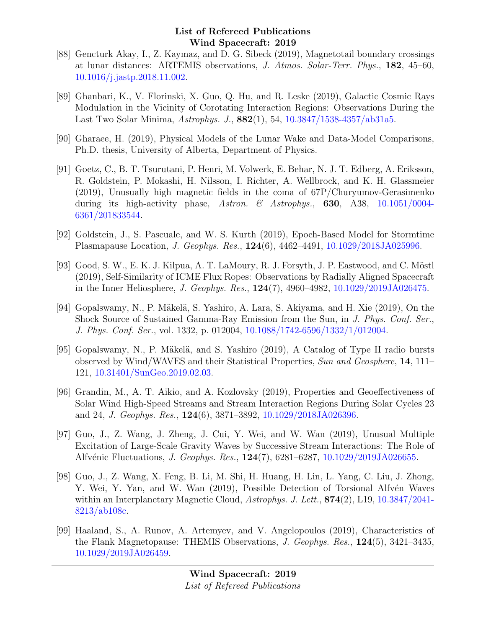- [88] Gencturk Akay, I., Z. Kaymaz, and D. G. Sibeck (2019), Magnetotail boundary crossings at lunar distances: ARTEMIS observations, J. Atmos. Solar-Terr. Phys., 182, 45–60, [10.1016/j.jastp.2018.11.002.](http://dx.doi.org/10.1016/j.jastp.2018.11.002)
- [89] Ghanbari, K., V. Florinski, X. Guo, Q. Hu, and R. Leske (2019), Galactic Cosmic Rays Modulation in the Vicinity of Corotating Interaction Regions: Observations During the Last Two Solar Minima, Astrophys. J., 882(1), 54, [10.3847/1538-4357/ab31a5.](http://dx.doi.org/10.3847/1538-4357/ab31a5)
- [90] Gharaee, H. (2019), Physical Models of the Lunar Wake and Data-Model Comparisons, Ph.D. thesis, University of Alberta, Department of Physics.
- [91] Goetz, C., B. T. Tsurutani, P. Henri, M. Volwerk, E. Behar, N. J. T. Edberg, A. Eriksson, R. Goldstein, P. Mokashi, H. Nilsson, I. Richter, A. Wellbrock, and K. H. Glassmeier (2019), Unusually high magnetic fields in the coma of 67P/Churyumov-Gerasimenko during its high-activity phase, Astron. & Astrophys., **630**, A38,  $10.1051/0004$ -[6361/201833544.](http://dx.doi.org/10.1051/0004-6361/201833544)
- [92] Goldstein, J., S. Pascuale, and W. S. Kurth (2019), Epoch-Based Model for Stormtime Plasmapause Location, J. Geophys. Res., 124(6), 4462–4491, [10.1029/2018JA025996.](http://dx.doi.org/10.1029/2018JA025996)
- [93] Good, S. W., E. K. J. Kilpua, A. T. LaMoury, R. J. Forsyth, J. P. Eastwood, and C. Möstl (2019), Self-Similarity of ICME Flux Ropes: Observations by Radially Aligned Spacecraft in the Inner Heliosphere, J. Geophys. Res., 124(7), 4960–4982, [10.1029/2019JA026475.](http://dx.doi.org/10.1029/2019JA026475)
- [94] Gopalswamy, N., P. Mäkelä, S. Yashiro, A. Lara, S. Akiyama, and H. Xie (2019), On the Shock Source of Sustained Gamma-Ray Emission from the Sun, in J. Phys. Conf. Ser., J. Phys. Conf. Ser., vol. 1332, p. 012004, [10.1088/1742-6596/1332/1/012004.](http://dx.doi.org/10.1088/1742-6596/1332/1/012004)
- [95] Gopalswamy, N., P. Mäkelä, and S. Yashiro (2019), A Catalog of Type II radio bursts observed by Wind/WAVES and their Statistical Properties, Sun and Geosphere, 14, 111– 121, [10.31401/SunGeo.2019.02.03.](http://dx.doi.org/10.31401/SunGeo.2019.02.03)
- [96] Grandin, M., A. T. Aikio, and A. Kozlovsky (2019), Properties and Geoeffectiveness of Solar Wind High-Speed Streams and Stream Interaction Regions During Solar Cycles 23 and 24, J. Geophys. Res., 124(6), 3871–3892, [10.1029/2018JA026396.](http://dx.doi.org/10.1029/2018JA026396)
- [97] Guo, J., Z. Wang, J. Zheng, J. Cui, Y. Wei, and W. Wan (2019), Unusual Multiple Excitation of Large-Scale Gravity Waves by Successive Stream Interactions: The Role of Alfvénic Fluctuations, *J. Geophys. Res.*, **124**(7), 6281–6287, [10.1029/2019JA026655.](http://dx.doi.org/10.1029/2019JA026655)
- [98] Guo, J., Z. Wang, X. Feng, B. Li, M. Shi, H. Huang, H. Lin, L. Yang, C. Liu, J. Zhong, Y. Wei, Y. Yan, and W. Wan (2019), Possible Detection of Torsional Alfvén Waves within an Interplanetary Magnetic Cloud, Astrophys. J. Lett., **874**(2), L19, [10.3847/2041-](http://dx.doi.org/10.3847/2041-8213/ab108c) [8213/ab108c.](http://dx.doi.org/10.3847/2041-8213/ab108c)
- [99] Haaland, S., A. Runov, A. Artemyev, and V. Angelopoulos (2019), Characteristics of the Flank Magnetopause: THEMIS Observations, J. Geophys. Res., 124(5), 3421–3435, [10.1029/2019JA026459.](http://dx.doi.org/10.1029/2019JA026459)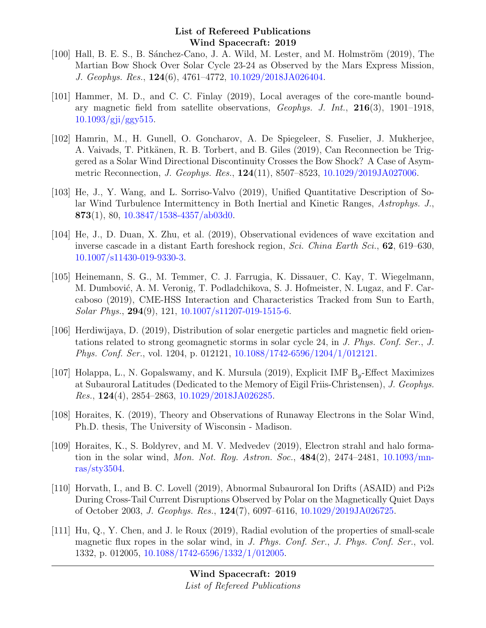- [100] Hall, B. E. S., B. Sánchez-Cano, J. A. Wild, M. Lester, and M. Holmström (2019), The Martian Bow Shock Over Solar Cycle 23-24 as Observed by the Mars Express Mission, J. Geophys. Res., 124(6), 4761–4772, [10.1029/2018JA026404.](http://dx.doi.org/10.1029/2018JA026404)
- [101] Hammer, M. D., and C. C. Finlay (2019), Local averages of the core-mantle boundary magnetic field from satellite observations,  $Geophys.$  J. Int.,  $216(3)$ ,  $1901-1918$ , [10.1093/gji/ggy515.](http://dx.doi.org/10.1093/gji/ggy515)
- [102] Hamrin, M., H. Gunell, O. Goncharov, A. De Spiegeleer, S. Fuselier, J. Mukherjee, A. Vaivads, T. Pitkänen, R. B. Torbert, and B. Giles (2019), Can Reconnection be Triggered as a Solar Wind Directional Discontinuity Crosses the Bow Shock? A Case of Asymmetric Reconnection, J. Geophys. Res., 124(11), 8507–8523, [10.1029/2019JA027006.](http://dx.doi.org/10.1029/2019JA027006)
- [103] He, J., Y. Wang, and L. Sorriso-Valvo (2019), Unified Quantitative Description of Solar Wind Turbulence Intermittency in Both Inertial and Kinetic Ranges, Astrophys. J., 873(1), 80,  $10.3847/1538-4357/ab03d0$ .
- [104] He, J., D. Duan, X. Zhu, et al. (2019), Observational evidences of wave excitation and inverse cascade in a distant Earth foreshock region, Sci. China Earth Sci., 62, 619–630, [10.1007/s11430-019-9330-3.](http://dx.doi.org/10.1007/s11430-019-9330-3)
- [105] Heinemann, S. G., M. Temmer, C. J. Farrugia, K. Dissauer, C. Kay, T. Wiegelmann, M. Dumbović, A. M. Veronig, T. Podladchikova, S. J. Hofmeister, N. Lugaz, and F. Carcaboso (2019), CME-HSS Interaction and Characteristics Tracked from Sun to Earth, Solar Phys., 294(9), 121, [10.1007/s11207-019-1515-6.](http://dx.doi.org/10.1007/s11207-019-1515-6)
- [106] Herdiwijaya, D. (2019), Distribution of solar energetic particles and magnetic field orientations related to strong geomagnetic storms in solar cycle 24, in J. Phys. Conf. Ser., J. Phys. Conf. Ser., vol. 1204, p. 012121, [10.1088/1742-6596/1204/1/012121.](http://dx.doi.org/10.1088/1742-6596/1204/1/012121)
- [107] Holappa, L., N. Gopalswamy, and K. Mursula (2019), Explicit IMF  $B_y$ -Effect Maximizes at Subauroral Latitudes (Dedicated to the Memory of Eigil Friis-Christensen), J. Geophys. Res., 124(4), 2854–2863, [10.1029/2018JA026285.](http://dx.doi.org/10.1029/2018JA026285)
- [108] Horaites, K. (2019), Theory and Observations of Runaway Electrons in the Solar Wind, Ph.D. thesis, The University of Wisconsin - Madison.
- [109] Horaites, K., S. Boldyrev, and M. V. Medvedev (2019), Electron strahl and halo formation in the solar wind, *Mon. Not. Roy. Astron. Soc.*,  $484(2)$ ,  $2474-2481$ ,  $10.1093/\text{mn}$ [ras/sty3504.](http://dx.doi.org/10.1093/mnras/sty3504)
- [110] Horvath, I., and B. C. Lovell (2019), Abnormal Subauroral Ion Drifts (ASAID) and Pi2s During Cross-Tail Current Disruptions Observed by Polar on the Magnetically Quiet Days of October 2003, J. Geophys. Res., 124(7), 6097–6116, [10.1029/2019JA026725.](http://dx.doi.org/10.1029/2019JA026725)
- [111] Hu, Q., Y. Chen, and J. le Roux (2019), Radial evolution of the properties of small-scale magnetic flux ropes in the solar wind, in J. Phys. Conf. Ser., J. Phys. Conf. Ser., vol. 1332, p. 012005, [10.1088/1742-6596/1332/1/012005.](http://dx.doi.org/10.1088/1742-6596/1332/1/012005)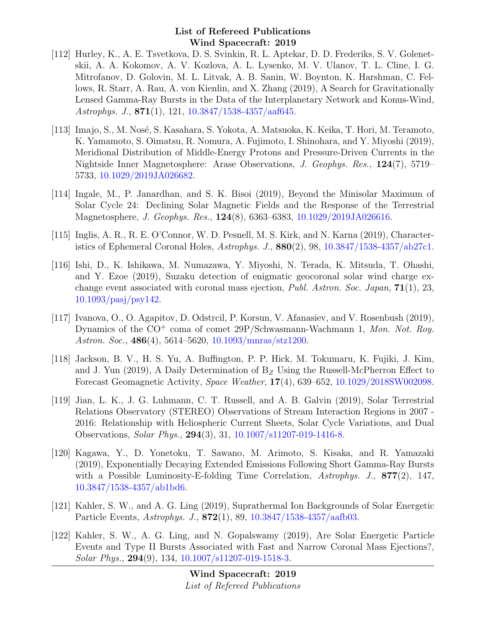- [112] Hurley, K., A. E. Tsvetkova, D. S. Svinkin, R. L. Aptekar, D. D. Frederiks, S. V. Golenetskii, A. A. Kokomov, A. V. Kozlova, A. L. Lysenko, M. V. Ulanov, T. L. Cline, I. G. Mitrofanov, D. Golovin, M. L. Litvak, A. B. Sanin, W. Boynton, K. Harshman, C. Fellows, R. Starr, A. Rau, A. von Kienlin, and X. Zhang (2019), A Search for Gravitationally Lensed Gamma-Ray Bursts in the Data of the Interplanetary Network and Konus-Wind, Astrophys. J., 871(1), 121, [10.3847/1538-4357/aaf645.](http://dx.doi.org/10.3847/1538-4357/aaf645)
- [113] Imajo, S., M. Nosé, S. Kasahara, S. Yokota, A. Matsuoka, K. Keika, T. Hori, M. Teramoto, K. Yamamoto, S. Oimatsu, R. Nomura, A. Fujimoto, I. Shinohara, and Y. Miyoshi (2019), Meridional Distribution of Middle-Energy Protons and Pressure-Driven Currents in the Nightside Inner Magnetosphere: Arase Observations, J. Geophys. Res., 124(7), 5719– 5733, [10.1029/2019JA026682.](http://dx.doi.org/10.1029/2019JA026682)
- [114] Ingale, M., P. Janardhan, and S. K. Bisoi (2019), Beyond the Minisolar Maximum of Solar Cycle 24: Declining Solar Magnetic Fields and the Response of the Terrestrial Magnetosphere, *J. Geophys. Res.*, **124**(8), 6363–6383, [10.1029/2019JA026616.](http://dx.doi.org/10.1029/2019JA026616)
- [115] Inglis, A. R., R. E. O'Connor, W. D. Pesnell, M. S. Kirk, and N. Karna (2019), Characteristics of Ephemeral Coronal Holes,  $Astrophys. J.$ ,  $880(2)$ ,  $98$ ,  $10.3847/1538-4357/ab27c1.$
- [116] Ishi, D., K. Ishikawa, M. Numazawa, Y. Miyoshi, N. Terada, K. Mitsuda, T. Ohashi, and Y. Ezoe (2019), Suzaku detection of enigmatic geocoronal solar wind charge exchange event associated with coronal mass ejection, *Publ. Astron. Soc. Japan*, **71**(1), 23, [10.1093/pasj/psy142.](http://dx.doi.org/10.1093/pasj/psy142)
- [117] Ivanova, O., O. Agapitov, D. Odstrcil, P. Korsun, V. Afanasiev, and V. Rosenbush (2019), Dynamics of the CO<sup>+</sup> coma of comet 29P/Schwasmann-Wachmann 1, Mon. Not. Roy. Astron. Soc., 486(4), 5614–5620, [10.1093/mnras/stz1200.](http://dx.doi.org/10.1093/mnras/stz1200)
- [118] Jackson, B. V., H. S. Yu, A. Buffington, P. P. Hick, M. Tokumaru, K. Fujiki, J. Kim, and J. Yun (2019), A Daily Determination of  $B<sub>Z</sub>$  Using the Russell-McPherron Effect to Forecast Geomagnetic Activity, Space Weather, 17(4), 639–652, [10.1029/2018SW002098.](http://dx.doi.org/10.1029/2018SW002098)
- [119] Jian, L. K., J. G. Luhmann, C. T. Russell, and A. B. Galvin (2019), Solar Terrestrial Relations Observatory (STEREO) Observations of Stream Interaction Regions in 2007 - 2016: Relationship with Heliospheric Current Sheets, Solar Cycle Variations, and Dual Observations, Solar Phys., 294(3), 31, [10.1007/s11207-019-1416-8.](http://dx.doi.org/10.1007/s11207-019-1416-8)
- [120] Kagawa, Y., D. Yonetoku, T. Sawano, M. Arimoto, S. Kisaka, and R. Yamazaki (2019), Exponentially Decaying Extended Emissions Following Short Gamma-Ray Bursts with a Possible Luminosity-E-folding Time Correlation, Astrophys. J., 877(2), 147, [10.3847/1538-4357/ab1bd6.](http://dx.doi.org/10.3847/1538-4357/ab1bd6)
- [121] Kahler, S. W., and A. G. Ling (2019), Suprathermal Ion Backgrounds of Solar Energetic Particle Events, Astrophys. J., 872(1), 89, [10.3847/1538-4357/aafb03.](http://dx.doi.org/10.3847/1538-4357/aafb03)
- [122] Kahler, S. W., A. G. Ling, and N. Gopalswamy (2019), Are Solar Energetic Particle Events and Type II Bursts Associated with Fast and Narrow Coronal Mass Ejections?, Solar Phys., 294(9), 134, [10.1007/s11207-019-1518-3.](http://dx.doi.org/10.1007/s11207-019-1518-3)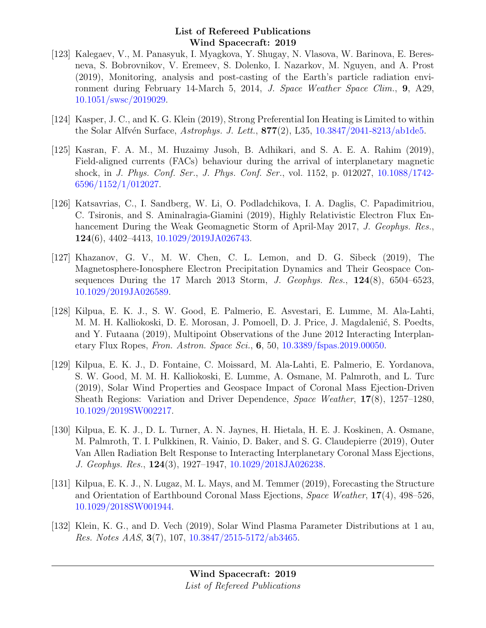- [123] Kalegaev, V., M. Panasyuk, I. Myagkova, Y. Shugay, N. Vlasova, W. Barinova, E. Beresneva, S. Bobrovnikov, V. Eremeev, S. Dolenko, I. Nazarkov, M. Nguyen, and A. Prost (2019), Monitoring, analysis and post-casting of the Earth's particle radiation environment during February 14-March 5, 2014, J. Space Weather Space Clim., 9, A29, [10.1051/swsc/2019029.](http://dx.doi.org/10.1051/swsc/2019029)
- [124] Kasper, J. C., and K. G. Klein (2019), Strong Preferential Ion Heating is Limited to within the Solar Alfvén Surface, Astrophys. J. Lett.,  $877(2)$ , L35, [10.3847/2041-8213/ab1de5.](http://dx.doi.org/10.3847/2041-8213/ab1de5)
- [125] Kasran, F. A. M., M. Huzaimy Jusoh, B. Adhikari, and S. A. E. A. Rahim (2019), Field-aligned currents (FACs) behaviour during the arrival of interplanetary magnetic shock, in J. Phys. Conf. Ser., J. Phys. Conf. Ser., vol. 1152, p. 012027, [10.1088/1742-](http://dx.doi.org/10.1088/1742-6596/1152/1/012027) [6596/1152/1/012027.](http://dx.doi.org/10.1088/1742-6596/1152/1/012027)
- [126] Katsavrias, C., I. Sandberg, W. Li, O. Podladchikova, I. A. Daglis, C. Papadimitriou, C. Tsironis, and S. Aminalragia-Giamini (2019), Highly Relativistic Electron Flux Enhancement During the Weak Geomagnetic Storm of April-May 2017, *J. Geophys. Res.*, 124(6), 4402–4413, [10.1029/2019JA026743.](http://dx.doi.org/10.1029/2019JA026743)
- [127] Khazanov, G. V., M. W. Chen, C. L. Lemon, and D. G. Sibeck (2019), The Magnetosphere-Ionosphere Electron Precipitation Dynamics and Their Geospace Consequences During the 17 March 2013 Storm, J. Geophys. Res.,  $124(8)$ , 6504–6523, [10.1029/2019JA026589.](http://dx.doi.org/10.1029/2019JA026589)
- [128] Kilpua, E. K. J., S. W. Good, E. Palmerio, E. Asvestari, E. Lumme, M. Ala-Lahti, M. M. H. Kalliokoski, D. E. Morosan, J. Pomoell, D. J. Price, J. Magdalenić, S. Poedts, and Y. Futaana (2019), Multipoint Observations of the June 2012 Interacting Interplanetary Flux Ropes, Fron. Astron. Space Sci., 6, 50, [10.3389/fspas.2019.00050.](http://dx.doi.org/10.3389/fspas.2019.00050)
- [129] Kilpua, E. K. J., D. Fontaine, C. Moissard, M. Ala-Lahti, E. Palmerio, E. Yordanova, S. W. Good, M. M. H. Kalliokoski, E. Lumme, A. Osmane, M. Palmroth, and L. Turc (2019), Solar Wind Properties and Geospace Impact of Coronal Mass Ejection-Driven Sheath Regions: Variation and Driver Dependence, Space Weather, 17(8), 1257–1280, [10.1029/2019SW002217.](http://dx.doi.org/10.1029/2019SW002217)
- [130] Kilpua, E. K. J., D. L. Turner, A. N. Jaynes, H. Hietala, H. E. J. Koskinen, A. Osmane, M. Palmroth, T. I. Pulkkinen, R. Vainio, D. Baker, and S. G. Claudepierre (2019), Outer Van Allen Radiation Belt Response to Interacting Interplanetary Coronal Mass Ejections, J. Geophys. Res., 124(3), 1927–1947, [10.1029/2018JA026238.](http://dx.doi.org/10.1029/2018JA026238)
- [131] Kilpua, E. K. J., N. Lugaz, M. L. Mays, and M. Temmer (2019), Forecasting the Structure and Orientation of Earthbound Coronal Mass Ejections, Space Weather, 17(4), 498–526, [10.1029/2018SW001944.](http://dx.doi.org/10.1029/2018SW001944)
- [132] Klein, K. G., and D. Vech (2019), Solar Wind Plasma Parameter Distributions at 1 au, Res. Notes AAS, 3(7), 107, [10.3847/2515-5172/ab3465.](http://dx.doi.org/10.3847/2515-5172/ab3465)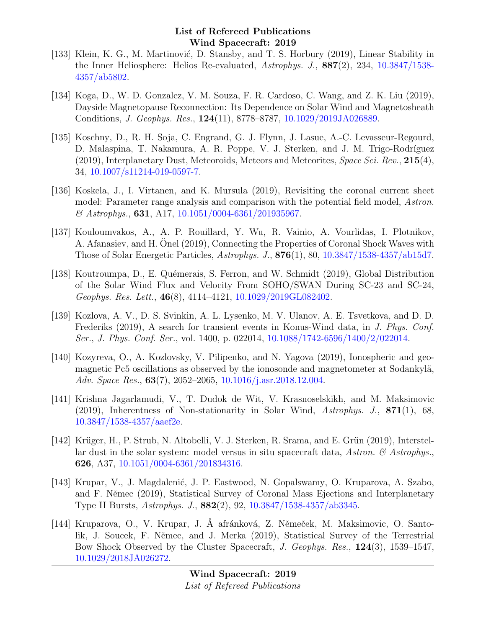- [133] Klein, K. G., M. Martinović, D. Stansby, and T. S. Horbury (2019), Linear Stability in the Inner Heliosphere: Helios Re-evaluated, Astrophys. J., 887(2), 234, [10.3847/1538-](http://dx.doi.org/10.3847/1538-4357/ab5802) [4357/ab5802.](http://dx.doi.org/10.3847/1538-4357/ab5802)
- [134] Koga, D., W. D. Gonzalez, V. M. Souza, F. R. Cardoso, C. Wang, and Z. K. Liu (2019), Dayside Magnetopause Reconnection: Its Dependence on Solar Wind and Magnetosheath Conditions, J. Geophys. Res., 124(11), 8778–8787, [10.1029/2019JA026889.](http://dx.doi.org/10.1029/2019JA026889)
- [135] Koschny, D., R. H. Soja, C. Engrand, G. J. Flynn, J. Lasue, A.-C. Levasseur-Regourd, D. Malaspina, T. Nakamura, A. R. Poppe, V. J. Sterken, and J. M. Trigo-Rodríguez (2019), Interplanetary Dust, Meteoroids, Meteors and Meteorites, *Space Sci. Rev.*,  $215(4)$ , 34, [10.1007/s11214-019-0597-7.](http://dx.doi.org/10.1007/s11214-019-0597-7)
- [136] Koskela, J., I. Virtanen, and K. Mursula (2019), Revisiting the coronal current sheet model: Parameter range analysis and comparison with the potential field model, Astron. & Astrophys., 631, A17, [10.1051/0004-6361/201935967.](http://dx.doi.org/10.1051/0004-6361/201935967)
- [137] Kouloumvakos, A., A. P. Rouillard, Y. Wu, R. Vainio, A. Vourlidas, I. Plotnikov, A. Afanasiev, and H. Onel (2019), Connecting the Properties of Coronal Shock Waves with Those of Solar Energetic Particles, Astrophys. J., 876(1), 80, [10.3847/1538-4357/ab15d7.](http://dx.doi.org/10.3847/1538-4357/ab15d7)
- [138] Koutroumpa, D., E. Quémerais, S. Ferron, and W. Schmidt (2019), Global Distribution of the Solar Wind Flux and Velocity From SOHO/SWAN During SC-23 and SC-24, Geophys. Res. Lett., 46(8), 4114–4121, [10.1029/2019GL082402.](http://dx.doi.org/10.1029/2019GL082402)
- [139] Kozlova, A. V., D. S. Svinkin, A. L. Lysenko, M. V. Ulanov, A. E. Tsvetkova, and D. D. Frederiks (2019), A search for transient events in Konus-Wind data, in J. Phys. Conf. Ser., J. Phys. Conf. Ser., vol. 1400, p. 022014, [10.1088/1742-6596/1400/2/022014.](http://dx.doi.org/10.1088/1742-6596/1400/2/022014)
- [140] Kozyreva, O., A. Kozlovsky, V. Pilipenko, and N. Yagova (2019), Ionospheric and geomagnetic Pc5 oscillations as observed by the ionosonde and magnetometer at Sodankylä, Adv. Space Res., 63(7), 2052–2065, [10.1016/j.asr.2018.12.004.](http://dx.doi.org/10.1016/j.asr.2018.12.004)
- [141] Krishna Jagarlamudi, V., T. Dudok de Wit, V. Krasnoselskikh, and M. Maksimovic  $(2019)$ , Inherentness of Non-stationarity in Solar Wind, Astrophys. J., 871(1), 68, [10.3847/1538-4357/aaef2e.](http://dx.doi.org/10.3847/1538-4357/aaef2e)
- [142] Krüger, H., P. Strub, N. Altobelli, V. J. Sterken, R. Srama, and E. Grün (2019), Interstellar dust in the solar system: model versus in situ spacecraft data, Astron.  $\mathcal{B}$  Astrophys. 626, A37, [10.1051/0004-6361/201834316.](http://dx.doi.org/10.1051/0004-6361/201834316)
- [143] Krupar, V., J. Magdalenić, J. P. Eastwood, N. Gopalswamy, O. Kruparova, A. Szabo, and F. Němec (2019), Statistical Survey of Coronal Mass Ejections and Interplanetary Type II Bursts, Astrophys. J., 882(2), 92, [10.3847/1538-4357/ab3345.](http://dx.doi.org/10.3847/1538-4357/ab3345)
- [144] Kruparova, O., V. Krupar, J. Å afránková, Z. Němeček, M. Maksimovic, O. Santolik, J. Soucek, F. Němec, and J. Merka (2019), Statistical Survey of the Terrestrial Bow Shock Observed by the Cluster Spacecraft, J. Geophys. Res., 124(3), 1539–1547, [10.1029/2018JA026272.](http://dx.doi.org/10.1029/2018JA026272)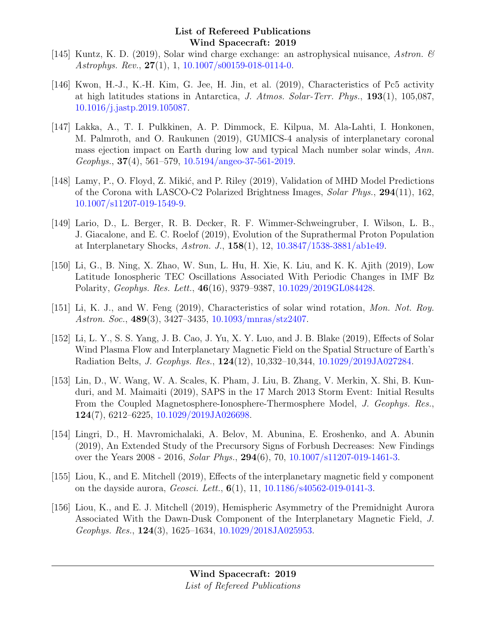- [145] Kuntz, K. D. (2019), Solar wind charge exchange: an astrophysical nuisance, Astron.  $\mathscr{C}$ Astrophys. Rev., 27(1), 1, [10.1007/s00159-018-0114-0.](http://dx.doi.org/10.1007/s00159-018-0114-0)
- [146] Kwon, H.-J., K.-H. Kim, G. Jee, H. Jin, et al. (2019), Characteristics of Pc5 activity at high latitudes stations in Antarctica, J. Atmos. Solar-Terr. Phys., 193(1), 105,087, [10.1016/j.jastp.2019.105087.](http://dx.doi.org/10.1016/j.jastp.2019.105087)
- [147] Lakka, A., T. I. Pulkkinen, A. P. Dimmock, E. Kilpua, M. Ala-Lahti, I. Honkonen, M. Palmroth, and O. Raukunen (2019), GUMICS-4 analysis of interplanetary coronal mass ejection impact on Earth during low and typical Mach number solar winds, Ann.  $Geophys.$ , 37(4), 561–579, [10.5194/angeo-37-561-2019.](http://dx.doi.org/10.5194/angeo-37-561-2019)
- [148] Lamy, P., O. Floyd, Z. Mikić, and P. Riley (2019), Validation of MHD Model Predictions of the Corona with LASCO-C2 Polarized Brightness Images, Solar Phys., 294(11), 162, [10.1007/s11207-019-1549-9.](http://dx.doi.org/10.1007/s11207-019-1549-9)
- [149] Lario, D., L. Berger, R. B. Decker, R. F. Wimmer-Schweingruber, I. Wilson, L. B., J. Giacalone, and E. C. Roelof (2019), Evolution of the Suprathermal Proton Population at Interplanetary Shocks, Astron. J., 158(1), 12, [10.3847/1538-3881/ab1e49.](http://dx.doi.org/10.3847/1538-3881/ab1e49)
- [150] Li, G., B. Ning, X. Zhao, W. Sun, L. Hu, H. Xie, K. Liu, and K. K. Ajith (2019), Low Latitude Ionospheric TEC Oscillations Associated With Periodic Changes in IMF Bz Polarity, Geophys. Res. Lett., 46(16), 9379–9387, [10.1029/2019GL084428.](http://dx.doi.org/10.1029/2019GL084428)
- [151] Li, K. J., and W. Feng (2019), Characteristics of solar wind rotation, Mon. Not. Roy. Astron. Soc., 489(3), 3427–3435, [10.1093/mnras/stz2407.](http://dx.doi.org/10.1093/mnras/stz2407)
- [152] Li, L. Y., S. S. Yang, J. B. Cao, J. Yu, X. Y. Luo, and J. B. Blake (2019), Effects of Solar Wind Plasma Flow and Interplanetary Magnetic Field on the Spatial Structure of Earth's Radiation Belts, J. Geophys. Res., 124(12), 10,332–10,344, [10.1029/2019JA027284.](http://dx.doi.org/10.1029/2019JA027284)
- [153] Lin, D., W. Wang, W. A. Scales, K. Pham, J. Liu, B. Zhang, V. Merkin, X. Shi, B. Kunduri, and M. Maimaiti (2019), SAPS in the 17 March 2013 Storm Event: Initial Results From the Coupled Magnetosphere-Ionosphere-Thermosphere Model, J. Geophys. Res., 124(7), 6212–6225, [10.1029/2019JA026698.](http://dx.doi.org/10.1029/2019JA026698)
- [154] Lingri, D., H. Mavromichalaki, A. Belov, M. Abunina, E. Eroshenko, and A. Abunin (2019), An Extended Study of the Precursory Signs of Forbush Decreases: New Findings over the Years 2008 - 2016, Solar Phys., 294(6), 70, [10.1007/s11207-019-1461-3.](http://dx.doi.org/10.1007/s11207-019-1461-3)
- [155] Liou, K., and E. Mitchell (2019), Effects of the interplanetary magnetic field y component on the dayside aurora, Geosci. Lett., 6(1), 11, [10.1186/s40562-019-0141-3.](http://dx.doi.org/10.1186/s40562-019-0141-3)
- [156] Liou, K., and E. J. Mitchell (2019), Hemispheric Asymmetry of the Premidnight Aurora Associated With the Dawn-Dusk Component of the Interplanetary Magnetic Field, J. Geophys. Res., 124(3), 1625–1634, [10.1029/2018JA025953.](http://dx.doi.org/10.1029/2018JA025953)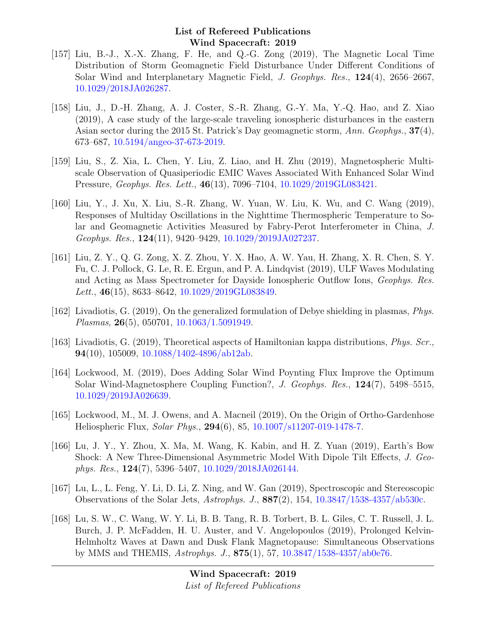- [157] Liu, B.-J., X.-X. Zhang, F. He, and Q.-G. Zong (2019), The Magnetic Local Time Distribution of Storm Geomagnetic Field Disturbance Under Different Conditions of Solar Wind and Interplanetary Magnetic Field, J. Geophys. Res., 124(4), 2656–2667, [10.1029/2018JA026287.](http://dx.doi.org/10.1029/2018JA026287)
- [158] Liu, J., D.-H. Zhang, A. J. Coster, S.-R. Zhang, G.-Y. Ma, Y.-Q. Hao, and Z. Xiao (2019), A case study of the large-scale traveling ionospheric disturbances in the eastern Asian sector during the 2015 St. Patrick's Day geomagnetic storm, Ann. Geophys., 37(4), 673–687, [10.5194/angeo-37-673-2019.](http://dx.doi.org/10.5194/angeo-37-673-2019)
- [159] Liu, S., Z. Xia, L. Chen, Y. Liu, Z. Liao, and H. Zhu (2019), Magnetospheric Multiscale Observation of Quasiperiodic EMIC Waves Associated With Enhanced Solar Wind Pressure, Geophys. Res. Lett., 46(13), 7096–7104, [10.1029/2019GL083421.](http://dx.doi.org/10.1029/2019GL083421)
- [160] Liu, Y., J. Xu, X. Liu, S.-R. Zhang, W. Yuan, W. Liu, K. Wu, and C. Wang (2019), Responses of Multiday Oscillations in the Nighttime Thermospheric Temperature to Solar and Geomagnetic Activities Measured by Fabry-Perot Interferometer in China, J. Geophys. Res., 124(11), 9420–9429, [10.1029/2019JA027237.](http://dx.doi.org/10.1029/2019JA027237)
- [161] Liu, Z. Y., Q. G. Zong, X. Z. Zhou, Y. X. Hao, A. W. Yau, H. Zhang, X. R. Chen, S. Y. Fu, C. J. Pollock, G. Le, R. E. Ergun, and P. A. Lindqvist (2019), ULF Waves Modulating and Acting as Mass Spectrometer for Dayside Ionospheric Outflow Ions, Geophys. Res. Lett., 46(15), 8633-8642, [10.1029/2019GL083849.](http://dx.doi.org/10.1029/2019GL083849)
- [162] Livadiotis, G. (2019), On the generalized formulation of Debye shielding in plasmas, Phys. Plasmas, 26(5), 050701, [10.1063/1.5091949.](http://dx.doi.org/10.1063/1.5091949)
- [163] Livadiotis, G. (2019), Theoretical aspects of Hamiltonian kappa distributions, *Phys. Scr.*, 94(10), 105009,  $10.1088/1402-4896/ab12ab$ .
- [164] Lockwood, M. (2019), Does Adding Solar Wind Poynting Flux Improve the Optimum Solar Wind-Magnetosphere Coupling Function?, J. Geophys. Res., 124(7), 5498–5515, [10.1029/2019JA026639.](http://dx.doi.org/10.1029/2019JA026639)
- [165] Lockwood, M., M. J. Owens, and A. Macneil (2019), On the Origin of Ortho-Gardenhose Heliospheric Flux, Solar Phys., 294(6), 85, [10.1007/s11207-019-1478-7.](http://dx.doi.org/10.1007/s11207-019-1478-7)
- [166] Lu, J. Y., Y. Zhou, X. Ma, M. Wang, K. Kabin, and H. Z. Yuan (2019), Earth's Bow Shock: A New Three-Dimensional Asymmetric Model With Dipole Tilt Effects, J. Geophys. Res., 124(7), 5396–5407, [10.1029/2018JA026144.](http://dx.doi.org/10.1029/2018JA026144)
- [167] Lu, L., L. Feng, Y. Li, D. Li, Z. Ning, and W. Gan (2019), Spectroscopic and Stereoscopic Observations of the Solar Jets, Astrophys. J., 887(2), 154, [10.3847/1538-4357/ab530c.](http://dx.doi.org/10.3847/1538-4357/ab530c)
- [168] Lu, S. W., C. Wang, W. Y. Li, B. B. Tang, R. B. Torbert, B. L. Giles, C. T. Russell, J. L. Burch, J. P. McFadden, H. U. Auster, and V. Angelopoulos (2019), Prolonged Kelvin-Helmholtz Waves at Dawn and Dusk Flank Magnetopause: Simultaneous Observations by MMS and THEMIS, Astrophys. J., 875(1), 57, [10.3847/1538-4357/ab0e76.](http://dx.doi.org/10.3847/1538-4357/ab0e76)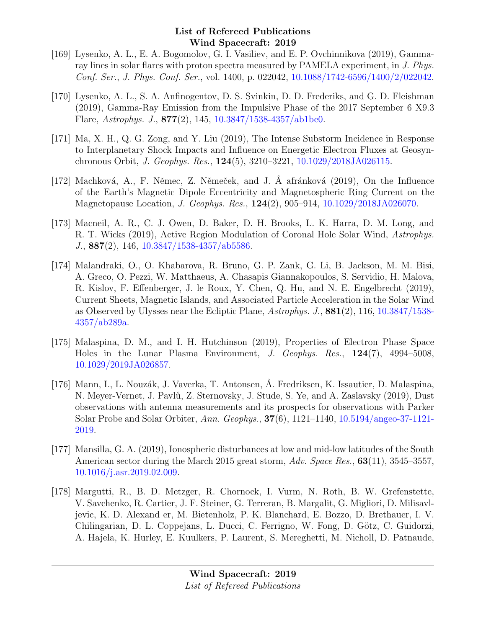- [169] Lysenko, A. L., E. A. Bogomolov, G. I. Vasiliev, and E. P. Ovchinnikova (2019), Gammaray lines in solar flares with proton spectra measured by PAMELA experiment, in J. Phys. Conf. Ser., J. Phys. Conf. Ser., vol. 1400, p. 022042, [10.1088/1742-6596/1400/2/022042.](http://dx.doi.org/10.1088/1742-6596/1400/2/022042)
- [170] Lysenko, A. L., S. A. Anfinogentov, D. S. Svinkin, D. D. Frederiks, and G. D. Fleishman (2019), Gamma-Ray Emission from the Impulsive Phase of the 2017 September 6 X9.3 Flare, Astrophys. J., 877(2), 145, [10.3847/1538-4357/ab1be0.](http://dx.doi.org/10.3847/1538-4357/ab1be0)
- [171] Ma, X. H., Q. G. Zong, and Y. Liu (2019), The Intense Substorm Incidence in Response to Interplanetary Shock Impacts and Influence on Energetic Electron Fluxes at Geosynchronous Orbit, J. Geophys. Res., 124(5), 3210–3221, [10.1029/2018JA026115.](http://dx.doi.org/10.1029/2018JA026115)
- [172] Machková, A., F. Němec, Z. Němeček, and J. Å afránková (2019), On the Influence of the Earth's Magnetic Dipole Eccentricity and Magnetospheric Ring Current on the Magnetopause Location, J. Geophys. Res., 124(2), 905–914, [10.1029/2018JA026070.](http://dx.doi.org/10.1029/2018JA026070)
- [173] Macneil, A. R., C. J. Owen, D. Baker, D. H. Brooks, L. K. Harra, D. M. Long, and R. T. Wicks (2019), Active Region Modulation of Coronal Hole Solar Wind, Astrophys. J., 887(2), 146, [10.3847/1538-4357/ab5586.](http://dx.doi.org/10.3847/1538-4357/ab5586)
- [174] Malandraki, O., O. Khabarova, R. Bruno, G. P. Zank, G. Li, B. Jackson, M. M. Bisi, A. Greco, O. Pezzi, W. Matthaeus, A. Chasapis Giannakopoulos, S. Servidio, H. Malova, R. Kislov, F. Effenberger, J. le Roux, Y. Chen, Q. Hu, and N. E. Engelbrecht (2019), Current Sheets, Magnetic Islands, and Associated Particle Acceleration in the Solar Wind as Observed by Ulysses near the Ecliptic Plane, Astrophys. J., 881(2), 116, [10.3847/1538-](http://dx.doi.org/10.3847/1538-4357/ab289a) [4357/ab289a.](http://dx.doi.org/10.3847/1538-4357/ab289a)
- [175] Malaspina, D. M., and I. H. Hutchinson (2019), Properties of Electron Phase Space Holes in the Lunar Plasma Environment, J. Geophys. Res., 124(7), 4994–5008, [10.1029/2019JA026857.](http://dx.doi.org/10.1029/2019JA026857)
- [176] Mann, I., L. Nouzák, J. Vaverka, T. Antonsen, Å. Fredriksen, K. Issautier, D. Malaspina, N. Meyer-Vernet, J. Pavlů, Z. Sternovsky, J. Stude, S. Ye, and A. Zaslavsky (2019), Dust observations with antenna measurements and its prospects for observations with Parker Solar Probe and Solar Orbiter, Ann. Geophys., 37(6), 1121–1140, [10.5194/angeo-37-1121-](http://dx.doi.org/10.5194/angeo-37-1121-2019) [2019.](http://dx.doi.org/10.5194/angeo-37-1121-2019)
- [177] Mansilla, G. A. (2019), Ionospheric disturbances at low and mid-low latitudes of the South American sector during the March 2015 great storm, Adv. Space Res., 63(11), 3545–3557, [10.1016/j.asr.2019.02.009.](http://dx.doi.org/10.1016/j.asr.2019.02.009)
- [178] Margutti, R., B. D. Metzger, R. Chornock, I. Vurm, N. Roth, B. W. Grefenstette, V. Savchenko, R. Cartier, J. F. Steiner, G. Terreran, B. Margalit, G. Migliori, D. Milisavljevic, K. D. Alexand er, M. Bietenholz, P. K. Blanchard, E. Bozzo, D. Brethauer, I. V. Chilingarian, D. L. Coppejans, L. Ducci, C. Ferrigno, W. Fong, D. Götz, C. Guidorzi, A. Hajela, K. Hurley, E. Kuulkers, P. Laurent, S. Mereghetti, M. Nicholl, D. Patnaude,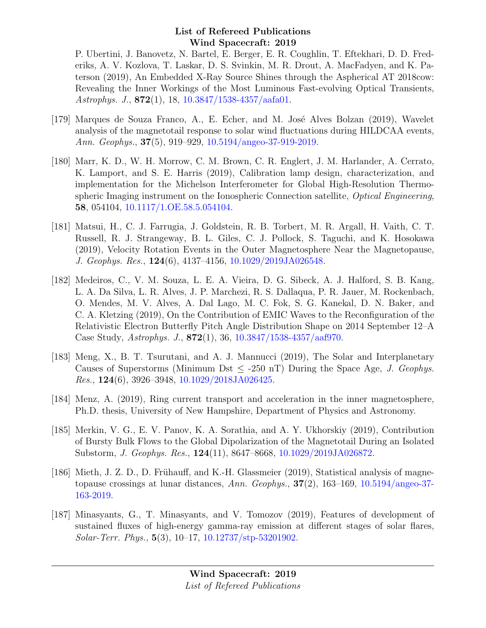P. Ubertini, J. Banovetz, N. Bartel, E. Berger, E. R. Coughlin, T. Eftekhari, D. D. Frederiks, A. V. Kozlova, T. Laskar, D. S. Svinkin, M. R. Drout, A. MacFadyen, and K. Paterson (2019), An Embedded X-Ray Source Shines through the Aspherical AT 2018cow: Revealing the Inner Workings of the Most Luminous Fast-evolving Optical Transients, Astrophys. J.,  $872(1)$ , 18,  $10.3847/1538-4357/aafa01$ .

- [179] Marques de Souza Franco, A., E. Echer, and M. José Alves Bolzan (2019), Wavelet analysis of the magnetotail response to solar wind fluctuations during HILDCAA events, Ann. Geophys., 37(5), 919–929, [10.5194/angeo-37-919-2019.](http://dx.doi.org/10.5194/angeo-37-919-2019)
- [180] Marr, K. D., W. H. Morrow, C. M. Brown, C. R. Englert, J. M. Harlander, A. Cerrato, K. Lamport, and S. E. Harris (2019), Calibration lamp design, characterization, and implementation for the Michelson Interferometer for Global High-Resolution Thermospheric Imaging instrument on the Ionospheric Connection satellite, Optical Engineering, 58, 054104, [10.1117/1.OE.58.5.054104.](http://dx.doi.org/10.1117/1.OE.58.5.054104)
- [181] Matsui, H., C. J. Farrugia, J. Goldstein, R. B. Torbert, M. R. Argall, H. Vaith, C. T. Russell, R. J. Strangeway, B. L. Giles, C. J. Pollock, S. Taguchi, and K. Hosokawa (2019), Velocity Rotation Events in the Outer Magnetosphere Near the Magnetopause, J. Geophys. Res., 124(6), 4137–4156, [10.1029/2019JA026548.](http://dx.doi.org/10.1029/2019JA026548)
- [182] Medeiros, C., V. M. Souza, L. E. A. Vieira, D. G. Sibeck, A. J. Halford, S. B. Kang, L. A. Da Silva, L. R. Alves, J. P. Marchezi, R. S. Dallaqua, P. R. Jauer, M. Rockenbach, O. Mendes, M. V. Alves, A. Dal Lago, M. C. Fok, S. G. Kanekal, D. N. Baker, and C. A. Kletzing (2019), On the Contribution of EMIC Waves to the Reconfiguration of the Relativistic Electron Butterfly Pitch Angle Distribution Shape on 2014 September 12–A Case Study, Astrophys. J., 872(1), 36, [10.3847/1538-4357/aaf970.](http://dx.doi.org/10.3847/1538-4357/aaf970)
- [183] Meng, X., B. T. Tsurutani, and A. J. Mannucci (2019), The Solar and Interplanetary Causes of Superstorms (Minimum Dst  $\leq$  -250 nT) During the Space Age, J. Geophys. Res., 124(6), 3926–3948, [10.1029/2018JA026425.](http://dx.doi.org/10.1029/2018JA026425)
- [184] Menz, A. (2019), Ring current transport and acceleration in the inner magnetosphere, Ph.D. thesis, University of New Hampshire, Department of Physics and Astronomy.
- [185] Merkin, V. G., E. V. Panov, K. A. Sorathia, and A. Y. Ukhorskiy (2019), Contribution of Bursty Bulk Flows to the Global Dipolarization of the Magnetotail During an Isolated Substorm, J. Geophys. Res., 124(11), 8647–8668, [10.1029/2019JA026872.](http://dx.doi.org/10.1029/2019JA026872)
- [186] Mieth, J. Z. D., D. Frühauff, and K.-H. Glassmeier (2019), Statistical analysis of magnetopause crossings at lunar distances, Ann. Geophys., 37(2), 163–169, [10.5194/angeo-37-](http://dx.doi.org/10.5194/angeo-37-163-2019) [163-2019.](http://dx.doi.org/10.5194/angeo-37-163-2019)
- [187] Minasyants, G., T. Minasyants, and V. Tomozov (2019), Features of development of sustained fluxes of high-energy gamma-ray emission at different stages of solar flares, Solar-Terr. Phys., 5(3), 10–17, [10.12737/stp-53201902.](http://dx.doi.org/10.12737/stp-53201902)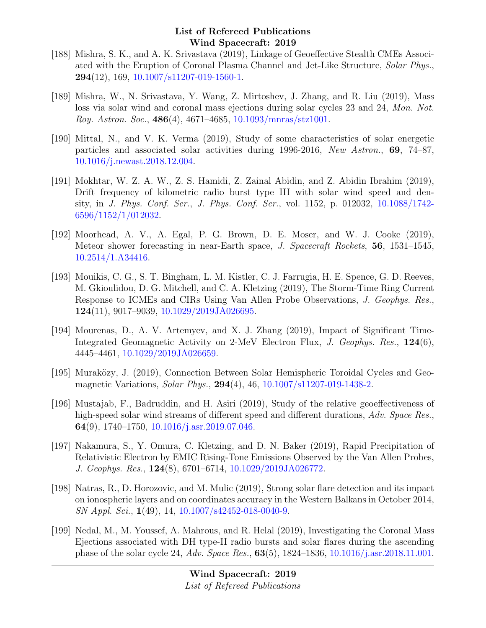- [188] Mishra, S. K., and A. K. Srivastava (2019), Linkage of Geoeffective Stealth CMEs Associated with the Eruption of Coronal Plasma Channel and Jet-Like Structure, Solar Phys.,  $294(12)$ , 169, [10.1007/s11207-019-1560-1.](http://dx.doi.org/10.1007/s11207-019-1560-1)
- [189] Mishra, W., N. Srivastava, Y. Wang, Z. Mirtoshev, J. Zhang, and R. Liu (2019), Mass loss via solar wind and coronal mass ejections during solar cycles 23 and 24, Mon. Not. Roy. Astron. Soc.,  $486(4)$ ,  $4671-4685$ ,  $10.1093/mnrs/stz1001$ .
- [190] Mittal, N., and V. K. Verma (2019), Study of some characteristics of solar energetic particles and associated solar activities during 1996-2016, New Astron., 69, 74–87, [10.1016/j.newast.2018.12.004.](http://dx.doi.org/10.1016/j.newast.2018.12.004)
- [191] Mokhtar, W. Z. A. W., Z. S. Hamidi, Z. Zainal Abidin, and Z. Abidin Ibrahim (2019), Drift frequency of kilometric radio burst type III with solar wind speed and density, in J. Phys. Conf. Ser., J. Phys. Conf. Ser., vol. 1152, p. 012032, [10.1088/1742-](http://dx.doi.org/10.1088/1742-6596/1152/1/012032) [6596/1152/1/012032.](http://dx.doi.org/10.1088/1742-6596/1152/1/012032)
- [192] Moorhead, A. V., A. Egal, P. G. Brown, D. E. Moser, and W. J. Cooke (2019), Meteor shower forecasting in near-Earth space, J. Spacecraft Rockets, 56, 1531–1545, [10.2514/1.A34416.](http://dx.doi.org/10.2514/1.A34416)
- [193] Mouikis, C. G., S. T. Bingham, L. M. Kistler, C. J. Farrugia, H. E. Spence, G. D. Reeves, M. Gkioulidou, D. G. Mitchell, and C. A. Kletzing (2019), The Storm-Time Ring Current Response to ICMEs and CIRs Using Van Allen Probe Observations, J. Geophys. Res., 124(11), 9017–9039, [10.1029/2019JA026695.](http://dx.doi.org/10.1029/2019JA026695)
- [194] Mourenas, D., A. V. Artemyev, and X. J. Zhang (2019), Impact of Significant Time-Integrated Geomagnetic Activity on 2-MeV Electron Flux, J. Geophys. Res., 124(6), 4445–4461, [10.1029/2019JA026659.](http://dx.doi.org/10.1029/2019JA026659)
- [195] Muraközy, J. (2019), Connection Between Solar Hemispheric Toroidal Cycles and Geomagnetic Variations, Solar Phys., 294(4), 46, [10.1007/s11207-019-1438-2.](http://dx.doi.org/10.1007/s11207-019-1438-2)
- [196] Mustajab, F., Badruddin, and H. Asiri (2019), Study of the relative geoeffectiveness of high-speed solar wind streams of different speed and different durations, Adv. Space Res., 64(9), 1740–1750, [10.1016/j.asr.2019.07.046.](http://dx.doi.org/10.1016/j.asr.2019.07.046)
- [197] Nakamura, S., Y. Omura, C. Kletzing, and D. N. Baker (2019), Rapid Precipitation of Relativistic Electron by EMIC Rising-Tone Emissions Observed by the Van Allen Probes, J. Geophys. Res., 124(8), 6701–6714, [10.1029/2019JA026772.](http://dx.doi.org/10.1029/2019JA026772)
- [198] Natras, R., D. Horozovic, and M. Mulic (2019), Strong solar flare detection and its impact on ionospheric layers and on coordinates accuracy in the Western Balkans in October 2014, SN Appl. Sci., 1(49), 14, [10.1007/s42452-018-0040-9.](http://dx.doi.org/10.1007/s42452-018-0040-9)
- [199] Nedal, M., M. Youssef, A. Mahrous, and R. Helal (2019), Investigating the Coronal Mass Ejections associated with DH type-II radio bursts and solar flares during the ascending phase of the solar cycle 24, Adv. Space Res., 63(5), 1824–1836, [10.1016/j.asr.2018.11.001.](http://dx.doi.org/10.1016/j.asr.2018.11.001)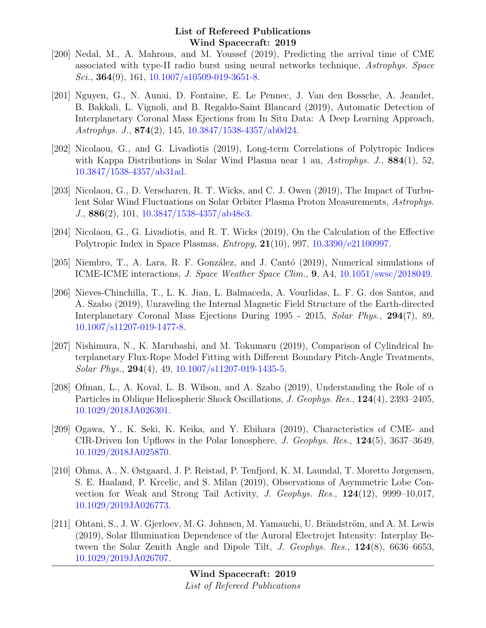- [200] Nedal, M., A. Mahrous, and M. Youssef (2019), Predicting the arrival time of CME associated with type-II radio burst using neural networks technique, Astrophys. Space Sci., **364**(9), 161, [10.1007/s10509-019-3651-8.](http://dx.doi.org/10.1007/s10509-019-3651-8)
- [201] Nguyen, G., N. Aunai, D. Fontaine, E. Le Pennec, J. Van den Bossche, A. Jeandet, B. Bakkali, L. Vignoli, and B. Regaldo-Saint Blancard (2019), Automatic Detection of Interplanetary Coronal Mass Ejections from In Situ Data: A Deep Learning Approach, Astrophys. J., 874(2), 145, [10.3847/1538-4357/ab0d24.](http://dx.doi.org/10.3847/1538-4357/ab0d24)
- [202] Nicolaou, G., and G. Livadiotis (2019), Long-term Correlations of Polytropic Indices with Kappa Distributions in Solar Wind Plasma near 1 au, Astrophys. J., 884(1), 52, [10.3847/1538-4357/ab31ad.](http://dx.doi.org/10.3847/1538-4357/ab31ad)
- [203] Nicolaou, G., D. Verscharen, R. T. Wicks, and C. J. Owen (2019), The Impact of Turbulent Solar Wind Fluctuations on Solar Orbiter Plasma Proton Measurements, Astrophys. J., 886(2), 101, [10.3847/1538-4357/ab48e3.](http://dx.doi.org/10.3847/1538-4357/ab48e3)
- [204] Nicolaou, G., G. Livadiotis, and R. T. Wicks (2019), On the Calculation of the Effective Polytropic Index in Space Plasmas,  $Entropy$ ,  $21(10)$ , 997,  $10.3390/e21100997$ .
- [205] Niembro, T., A. Lara, R. F. González, and J. Cantó (2019), Numerical simulations of ICME-ICME interactions, J. Space Weather Space Clim., 9, A4, [10.1051/swsc/2018049.](http://dx.doi.org/10.1051/swsc/2018049)
- [206] Nieves-Chinchilla, T., L. K. Jian, L. Balmaceda, A. Vourlidas, L. F. G. dos Santos, and A. Szabo (2019), Unraveling the Internal Magnetic Field Structure of the Earth-directed Interplanetary Coronal Mass Ejections During 1995 - 2015, Solar Phys., 294(7), 89, [10.1007/s11207-019-1477-8.](http://dx.doi.org/10.1007/s11207-019-1477-8)
- [207] Nishimura, N., K. Marubashi, and M. Tokumaru (2019), Comparison of Cylindrical Interplanetary Flux-Rope Model Fitting with Different Boundary Pitch-Angle Treatments,  $Solar Phys., 294(4), 49, 10.1007/11207-019-1435-5.$
- [208] Ofman, L., A. Koval, L. B. Wilson, and A. Szabo (2019), Understanding the Role of  $\alpha$ Particles in Oblique Heliospheric Shock Oscillations, J. Geophys. Res., 124(4), 2393–2405, [10.1029/2018JA026301.](http://dx.doi.org/10.1029/2018JA026301)
- [209] Ogawa, Y., K. Seki, K. Keika, and Y. Ebihara (2019), Characteristics of CME- and CIR-Driven Ion Upflows in the Polar Ionosphere, J. Geophys. Res., 124(5), 3637–3649, [10.1029/2018JA025870.](http://dx.doi.org/10.1029/2018JA025870)
- [210] Ohma, A., N. Østgaard, J. P. Reistad, P. Tenfjord, K. M. Laundal, T. Moretto Jørgensen, S. E. Haaland, P. Krcelic, and S. Milan (2019), Observations of Asymmetric Lobe Convection for Weak and Strong Tail Activity, J. Geophys. Res., 124(12), 9999–10,017, [10.1029/2019JA026773.](http://dx.doi.org/10.1029/2019JA026773)
- [211] Ohtani, S., J. W. Gjerloev, M. G. Johnsen, M. Yamauchi, U. Brändström, and A. M. Lewis (2019), Solar Illumination Dependence of the Auroral Electrojet Intensity: Interplay Between the Solar Zenith Angle and Dipole Tilt, J. Geophys. Res., 124(8), 6636–6653, [10.1029/2019JA026707.](http://dx.doi.org/10.1029/2019JA026707)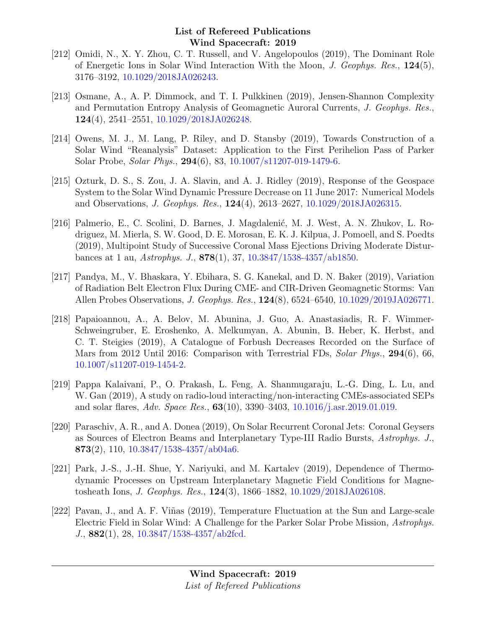- [212] Omidi, N., X. Y. Zhou, C. T. Russell, and V. Angelopoulos (2019), The Dominant Role of Energetic Ions in Solar Wind Interaction With the Moon, J. Geophys. Res.,  $124(5)$ , 3176–3192, [10.1029/2018JA026243.](http://dx.doi.org/10.1029/2018JA026243)
- [213] Osmane, A., A. P. Dimmock, and T. I. Pulkkinen (2019), Jensen-Shannon Complexity and Permutation Entropy Analysis of Geomagnetic Auroral Currents, J. Geophys. Res., 124(4), 2541–2551, [10.1029/2018JA026248.](http://dx.doi.org/10.1029/2018JA026248)
- [214] Owens, M. J., M. Lang, P. Riley, and D. Stansby (2019), Towards Construction of a Solar Wind "Reanalysis" Dataset: Application to the First Perihelion Pass of Parker Solar Probe, Solar Phys., 294(6), 83, [10.1007/s11207-019-1479-6.](http://dx.doi.org/10.1007/s11207-019-1479-6)
- [215] Ozturk, D. S., S. Zou, J. A. Slavin, and A. J. Ridley (2019), Response of the Geospace System to the Solar Wind Dynamic Pressure Decrease on 11 June 2017: Numerical Models and Observations, J. Geophys. Res., 124(4), 2613–2627, [10.1029/2018JA026315.](http://dx.doi.org/10.1029/2018JA026315)
- [216] Palmerio, E., C. Scolini, D. Barnes, J. Magdalenić, M. J. West, A. N. Zhukov, L. Rodriguez, M. Mierla, S. W. Good, D. E. Morosan, E. K. J. Kilpua, J. Pomoell, and S. Poedts (2019), Multipoint Study of Successive Coronal Mass Ejections Driving Moderate Disturbances at 1 au, Astrophys. J., 878(1), 37, [10.3847/1538-4357/ab1850.](http://dx.doi.org/10.3847/1538-4357/ab1850)
- [217] Pandya, M., V. Bhaskara, Y. Ebihara, S. G. Kanekal, and D. N. Baker (2019), Variation of Radiation Belt Electron Flux During CME- and CIR-Driven Geomagnetic Storms: Van Allen Probes Observations, J. Geophys. Res., 124(8), 6524–6540, [10.1029/2019JA026771.](http://dx.doi.org/10.1029/2019JA026771)
- [218] Papaioannou, A., A. Belov, M. Abunina, J. Guo, A. Anastasiadis, R. F. Wimmer-Schweingruber, E. Eroshenko, A. Melkumyan, A. Abunin, B. Heber, K. Herbst, and C. T. Steigies (2019), A Catalogue of Forbush Decreases Recorded on the Surface of Mars from 2012 Until 2016: Comparison with Terrestrial FDs, Solar Phys., 294(6), 66, [10.1007/s11207-019-1454-2.](http://dx.doi.org/10.1007/s11207-019-1454-2)
- [219] Pappa Kalaivani, P., O. Prakash, L. Feng, A. Shanmugaraju, L.-G. Ding, L. Lu, and W. Gan (2019), A study on radio-loud interacting/non-interacting CMEs-associated SEPs and solar flares, Adv. Space Res., 63(10), 3390–3403, [10.1016/j.asr.2019.01.019.](http://dx.doi.org/10.1016/j.asr.2019.01.019)
- [220] Paraschiv, A. R., and A. Donea (2019), On Solar Recurrent Coronal Jets: Coronal Geysers as Sources of Electron Beams and Interplanetary Type-III Radio Bursts, Astrophys. J., 873(2), 110,  $10.3847/1538-4357/ab04a6$ .
- [221] Park, J.-S., J.-H. Shue, Y. Nariyuki, and M. Kartalev (2019), Dependence of Thermodynamic Processes on Upstream Interplanetary Magnetic Field Conditions for Magnetosheath Ions, J. Geophys. Res., 124(3), 1866–1882, [10.1029/2018JA026108.](http://dx.doi.org/10.1029/2018JA026108)
- [222] Pavan, J., and A. F. Viñas (2019), Temperature Fluctuation at the Sun and Large-scale Electric Field in Solar Wind: A Challenge for the Parker Solar Probe Mission, Astrophys. J., 882(1), 28, [10.3847/1538-4357/ab2fcd.](http://dx.doi.org/10.3847/1538-4357/ab2fcd)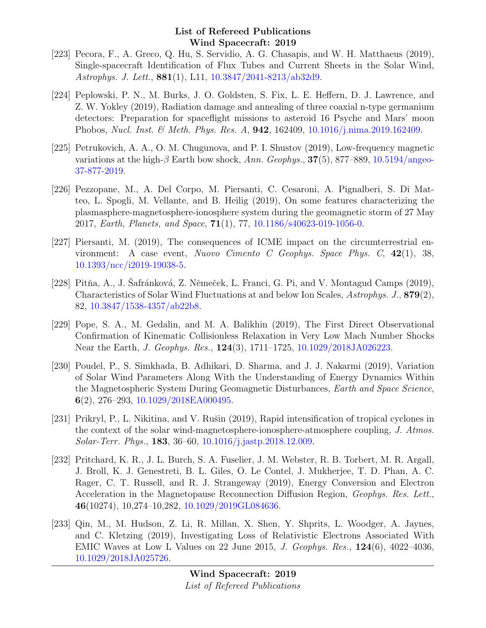- [223] Pecora, F., A. Greco, Q. Hu, S. Servidio, A. G. Chasapis, and W. H. Matthaeus (2019), Single-spacecraft Identification of Flux Tubes and Current Sheets in the Solar Wind, Astrophys. J. Lett., 881(1), L11, [10.3847/2041-8213/ab32d9.](http://dx.doi.org/10.3847/2041-8213/ab32d9)
- [224] Peplowski, P. N., M. Burks, J. O. Goldsten, S. Fix, L. E. Heffern, D. J. Lawrence, and Z. W. Yokley (2019), Radiation damage and annealing of three coaxial n-type germanium detectors: Preparation for spaceflight missions to asteroid 16 Psyche and Mars' moon Phobos, Nucl. Inst. & Meth. Phys. Res. A, 942, 162409, [10.1016/j.nima.2019.162409.](http://dx.doi.org/10.1016/j.nima.2019.162409)
- [225] Petrukovich, A. A., O. M. Chugunova, and P. I. Shustov (2019), Low-frequency magnetic variations at the high- $\beta$  Earth bow shock, Ann. Geophys., 37(5), 877–889, [10.5194/angeo-](http://dx.doi.org/10.5194/angeo-37-877-2019)[37-877-2019.](http://dx.doi.org/10.5194/angeo-37-877-2019)
- [226] Pezzopane, M., A. Del Corpo, M. Piersanti, C. Cesaroni, A. Pignalberi, S. Di Matteo, L. Spogli, M. Vellante, and B. Heilig (2019), On some features characterizing the plasmasphere-magnetosphere-ionosphere system during the geomagnetic storm of 27 May 2017, Earth, Planets, and Space, 71(1), 77, [10.1186/s40623-019-1056-0.](http://dx.doi.org/10.1186/s40623-019-1056-0)
- [227] Piersanti, M. (2019), The consequences of ICME impact on the circumterrestrial environment: A case event, Nuovo Cimento C Geophys. Space Phys. C, 42(1), 38, [10.1393/ncc/i2019-19038-5.](http://dx.doi.org/10.1393/ncc/i2019-19038-5)
- [228] Pitňa, A., J. Safránková, Z. Němeček, L. Franci, G. Pi, and V. Montagud Camps (2019), Characteristics of Solar Wind Fluctuations at and below Ion Scales, Astrophys. J., 879(2), 82, [10.3847/1538-4357/ab22b8.](http://dx.doi.org/10.3847/1538-4357/ab22b8)
- [229] Pope, S. A., M. Gedalin, and M. A. Balikhin (2019), The First Direct Observational Confirmation of Kinematic Collisionless Relaxation in Very Low Mach Number Shocks Near the Earth, *J. Geophys. Res.*, **124**(3), 1711–1725, [10.1029/2018JA026223.](http://dx.doi.org/10.1029/2018JA026223)
- [230] Poudel, P., S. Simkhada, B. Adhikari, D. Sharma, and J. J. Nakarmi (2019), Variation of Solar Wind Parameters Along With the Understanding of Energy Dynamics Within the Magnetospheric System During Geomagnetic Disturbances, Earth and Space Science, 6(2), 276–293, [10.1029/2018EA000495.](http://dx.doi.org/10.1029/2018EA000495)
- [231] Prikryl, P., L. Nikitina, and V. Rušin (2019), Rapid intensification of tropical cyclones in the context of the solar wind-magnetosphere-ionosphere-atmosphere coupling, J. Atmos. Solar-Terr. Phys., 183, 36–60, [10.1016/j.jastp.2018.12.009.](http://dx.doi.org/10.1016/j.jastp.2018.12.009)
- [232] Pritchard, K. R., J. L. Burch, S. A. Fuselier, J. M. Webster, R. B. Torbert, M. R. Argall, J. Broll, K. J. Genestreti, B. L. Giles, O. Le Contel, J. Mukherjee, T. D. Phan, A. C. Rager, C. T. Russell, and R. J. Strangeway (2019), Energy Conversion and Electron Acceleration in the Magnetopause Reconnection Diffusion Region, Geophys. Res. Lett., 46(10274), 10,274–10,282, [10.1029/2019GL084636.](http://dx.doi.org/10.1029/2019GL084636)
- [233] Qin, M., M. Hudson, Z. Li, R. Millan, X. Shen, Y. Shprits, L. Woodger, A. Jaynes, and C. Kletzing (2019), Investigating Loss of Relativistic Electrons Associated With EMIC Waves at Low L Values on 22 June 2015, J. Geophys. Res., 124(6), 4022–4036, [10.1029/2018JA025726.](http://dx.doi.org/10.1029/2018JA025726)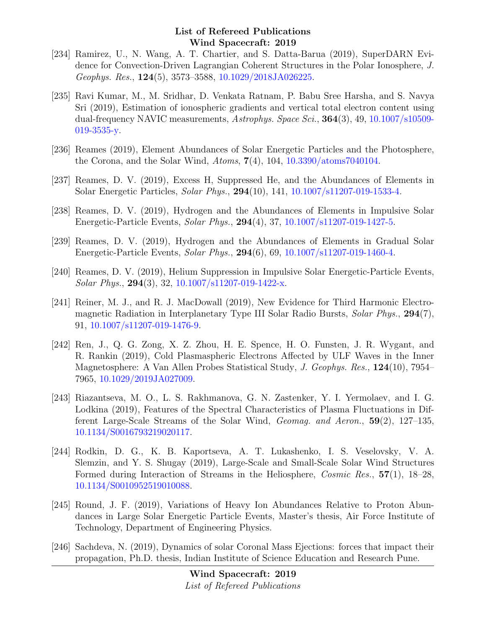- [234] Ramirez, U., N. Wang, A. T. Chartier, and S. Datta-Barua (2019), SuperDARN Evidence for Convection-Driven Lagrangian Coherent Structures in the Polar Ionosphere, J. Geophys. Res., 124(5), 3573–3588, [10.1029/2018JA026225.](http://dx.doi.org/10.1029/2018JA026225)
- [235] Ravi Kumar, M., M. Sridhar, D. Venkata Ratnam, P. Babu Sree Harsha, and S. Navya Sri (2019), Estimation of ionospheric gradients and vertical total electron content using dual-frequency NAVIC measurements, Astrophys. Space Sci., **364**(3), 49, [10.1007/s10509-](http://dx.doi.org/10.1007/s10509-019-3535-y) [019-3535-y.](http://dx.doi.org/10.1007/s10509-019-3535-y)
- [236] Reames (2019), Element Abundances of Solar Energetic Particles and the Photosphere, the Corona, and the Solar Wind, Atoms,  $7(4)$ , 104, [10.3390/atoms7040104.](http://dx.doi.org/10.3390/atoms7040104)
- [237] Reames, D. V. (2019), Excess H, Suppressed He, and the Abundances of Elements in Solar Energetic Particles, Solar Phys., 294(10), 141, [10.1007/s11207-019-1533-4.](http://dx.doi.org/10.1007/s11207-019-1533-4)
- [238] Reames, D. V. (2019), Hydrogen and the Abundances of Elements in Impulsive Solar Energetic-Particle Events, Solar Phys., 294(4), 37, [10.1007/s11207-019-1427-5.](http://dx.doi.org/10.1007/s11207-019-1427-5)
- [239] Reames, D. V. (2019), Hydrogen and the Abundances of Elements in Gradual Solar Energetic-Particle Events, Solar Phys., 294(6), 69, [10.1007/s11207-019-1460-4.](http://dx.doi.org/10.1007/s11207-019-1460-4)
- [240] Reames, D. V. (2019), Helium Suppression in Impulsive Solar Energetic-Particle Events, Solar Phys., 294(3), 32, [10.1007/s11207-019-1422-x.](http://dx.doi.org/10.1007/s11207-019-1422-x)
- [241] Reiner, M. J., and R. J. MacDowall (2019), New Evidence for Third Harmonic Electromagnetic Radiation in Interplanetary Type III Solar Radio Bursts, Solar Phys., 294(7), 91, [10.1007/s11207-019-1476-9.](http://dx.doi.org/10.1007/s11207-019-1476-9)
- [242] Ren, J., Q. G. Zong, X. Z. Zhou, H. E. Spence, H. O. Funsten, J. R. Wygant, and R. Rankin (2019), Cold Plasmaspheric Electrons Affected by ULF Waves in the Inner Magnetosphere: A Van Allen Probes Statistical Study, J. Geophys. Res., 124(10), 7954– 7965, [10.1029/2019JA027009.](http://dx.doi.org/10.1029/2019JA027009)
- [243] Riazantseva, M. O., L. S. Rakhmanova, G. N. Zastenker, Y. I. Yermolaev, and I. G. Lodkina (2019), Features of the Spectral Characteristics of Plasma Fluctuations in Different Large-Scale Streams of the Solar Wind, Geomag. and Aeron., 59(2), 127–135, [10.1134/S0016793219020117.](http://dx.doi.org/10.1134/S0016793219020117)
- [244] Rodkin, D. G., K. B. Kaportseva, A. T. Lukashenko, I. S. Veselovsky, V. A. Slemzin, and Y. S. Shugay (2019), Large-Scale and Small-Scale Solar Wind Structures Formed during Interaction of Streams in the Heliosphere, Cosmic Res., 57(1), 18–28, [10.1134/S0010952519010088.](http://dx.doi.org/10.1134/S0010952519010088)
- [245] Round, J. F. (2019), Variations of Heavy Ion Abundances Relative to Proton Abundances in Large Solar Energetic Particle Events, Master's thesis, Air Force Institute of Technology, Department of Engineering Physics.
- [246] Sachdeva, N. (2019), Dynamics of solar Coronal Mass Ejections: forces that impact their propagation, Ph.D. thesis, Indian Institute of Science Education and Research Pune.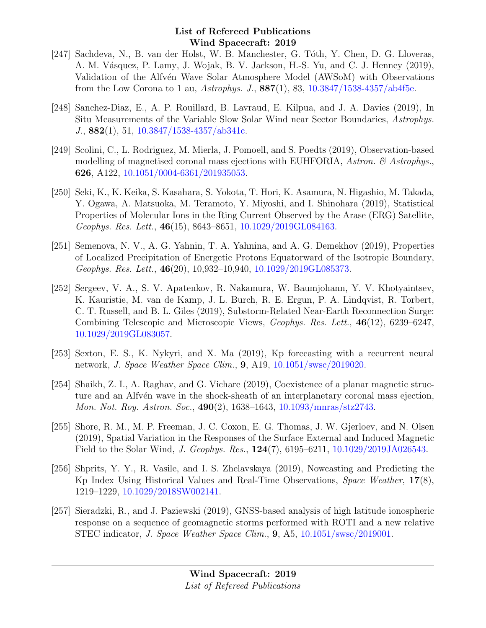- [247] Sachdeva, N., B. van der Holst, W. B. Manchester, G. Tóth, Y. Chen, D. G. Lloveras, A. M. Vásquez, P. Lamy, J. Wojak, B. V. Jackson, H.-S. Yu, and C. J. Henney (2019), Validation of the Alfvén Wave Solar Atmosphere Model (AWSoM) with Observations from the Low Corona to 1 au, Astrophys. J.,  $887(1)$ , 83,  $10.3847/1538-4357/ab4f5e$ .
- [248] Sanchez-Diaz, E., A. P. Rouillard, B. Lavraud, E. Kilpua, and J. A. Davies (2019), In Situ Measurements of the Variable Slow Solar Wind near Sector Boundaries, Astrophys. J., 882(1), 51, [10.3847/1538-4357/ab341c.](http://dx.doi.org/10.3847/1538-4357/ab341c)
- [249] Scolini, C., L. Rodriguez, M. Mierla, J. Pomoell, and S. Poedts (2019), Observation-based modelling of magnetised coronal mass ejections with EUHFORIA, Astron.  $\mathcal{C}$  Astrophys. 626, A122, [10.1051/0004-6361/201935053.](http://dx.doi.org/10.1051/0004-6361/201935053)
- [250] Seki, K., K. Keika, S. Kasahara, S. Yokota, T. Hori, K. Asamura, N. Higashio, M. Takada, Y. Ogawa, A. Matsuoka, M. Teramoto, Y. Miyoshi, and I. Shinohara (2019), Statistical Properties of Molecular Ions in the Ring Current Observed by the Arase (ERG) Satellite, Geophys. Res. Lett., 46(15), 8643–8651, [10.1029/2019GL084163.](http://dx.doi.org/10.1029/2019GL084163)
- [251] Semenova, N. V., A. G. Yahnin, T. A. Yahnina, and A. G. Demekhov (2019), Properties of Localized Precipitation of Energetic Protons Equatorward of the Isotropic Boundary, Geophys. Res. Lett., 46(20), 10,932–10,940, [10.1029/2019GL085373.](http://dx.doi.org/10.1029/2019GL085373)
- [252] Sergeev, V. A., S. V. Apatenkov, R. Nakamura, W. Baumjohann, Y. V. Khotyaintsev, K. Kauristie, M. van de Kamp, J. L. Burch, R. E. Ergun, P. A. Lindqvist, R. Torbert, C. T. Russell, and B. L. Giles (2019), Substorm-Related Near-Earth Reconnection Surge: Combining Telescopic and Microscopic Views, Geophys. Res. Lett., 46(12), 6239–6247, [10.1029/2019GL083057.](http://dx.doi.org/10.1029/2019GL083057)
- [253] Sexton, E. S., K. Nykyri, and X. Ma (2019), Kp forecasting with a recurrent neural network, J. Space Weather Space Clim., 9, A19, [10.1051/swsc/2019020.](http://dx.doi.org/10.1051/swsc/2019020)
- [254] Shaikh, Z. I., A. Raghav, and G. Vichare (2019), Coexistence of a planar magnetic structure and an Alfv $\acute{e}$ n wave in the shock-sheath of an interplanetary coronal mass ejection, Mon. Not. Roy. Astron. Soc., 490(2), 1638–1643, [10.1093/mnras/stz2743.](http://dx.doi.org/10.1093/mnras/stz2743)
- [255] Shore, R. M., M. P. Freeman, J. C. Coxon, E. G. Thomas, J. W. Gjerloev, and N. Olsen (2019), Spatial Variation in the Responses of the Surface External and Induced Magnetic Field to the Solar Wind, J. Geophys. Res., 124(7), 6195–6211, [10.1029/2019JA026543.](http://dx.doi.org/10.1029/2019JA026543)
- [256] Shprits, Y. Y., R. Vasile, and I. S. Zhelavskaya (2019), Nowcasting and Predicting the Kp Index Using Historical Values and Real-Time Observations, Space Weather, 17(8), 1219–1229, [10.1029/2018SW002141.](http://dx.doi.org/10.1029/2018SW002141)
- [257] Sieradzki, R., and J. Paziewski (2019), GNSS-based analysis of high latitude ionospheric response on a sequence of geomagnetic storms performed with ROTI and a new relative STEC indicator, J. Space Weather Space Clim., 9, A5, [10.1051/swsc/2019001.](http://dx.doi.org/10.1051/swsc/2019001)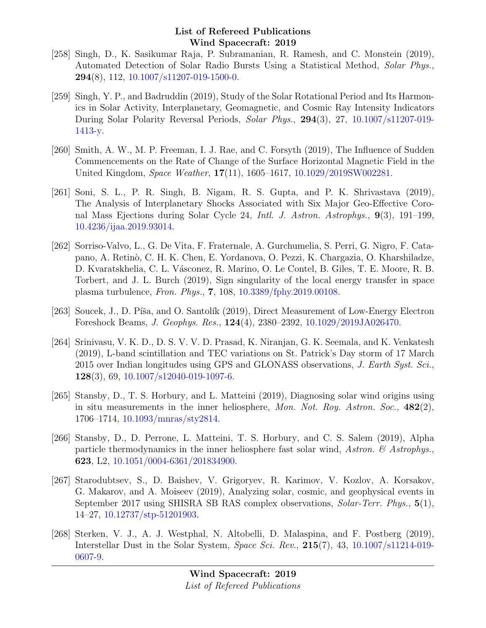- [258] Singh, D., K. Sasikumar Raja, P. Subramanian, R. Ramesh, and C. Monstein (2019), Automated Detection of Solar Radio Bursts Using a Statistical Method, Solar Phys.,  $294(8)$ , 112, [10.1007/s11207-019-1500-0.](http://dx.doi.org/10.1007/s11207-019-1500-0)
- [259] Singh, Y. P., and Badruddin (2019), Study of the Solar Rotational Period and Its Harmonics in Solar Activity, Interplanetary, Geomagnetic, and Cosmic Ray Intensity Indicators During Solar Polarity Reversal Periods, Solar Phys., 294(3), 27, [10.1007/s11207-019-](http://dx.doi.org/10.1007/s11207-019-1413-y) [1413-y.](http://dx.doi.org/10.1007/s11207-019-1413-y)
- [260] Smith, A. W., M. P. Freeman, I. J. Rae, and C. Forsyth (2019), The Influence of Sudden Commencements on the Rate of Change of the Surface Horizontal Magnetic Field in the United Kingdom, Space Weather, 17(11), 1605–1617, [10.1029/2019SW002281.](http://dx.doi.org/10.1029/2019SW002281)
- [261] Soni, S. L., P. R. Singh, B. Nigam, R. S. Gupta, and P. K. Shrivastava (2019), The Analysis of Interplanetary Shocks Associated with Six Major Geo-Effective Coronal Mass Ejections during Solar Cycle 24, Intl. J. Astron. Astrophys., 9(3), 191–199, [10.4236/ijaa.2019.93014.](http://dx.doi.org/10.4236/ijaa.2019.93014)
- [262] Sorriso-Valvo, L., G. De Vita, F. Fraternale, A. Gurchumelia, S. Perri, G. Nigro, F. Catapano, A. Retinò, C. H. K. Chen, E. Yordanova, O. Pezzi, K. Chargazia, O. Kharshiladze, D. Kvaratskhelia, C. L. Vásconez, R. Marino, O. Le Contel, B. Giles, T. E. Moore, R. B. Torbert, and J. L. Burch (2019), Sign singularity of the local energy transfer in space plasma turbulence, Fron. Phys., 7, 108, [10.3389/fphy.2019.00108.](http://dx.doi.org/10.3389/fphy.2019.00108)
- [263] Soucek, J., D. Píša, and O. Santolík (2019), Direct Measurement of Low-Energy Electron Foreshock Beams, J. Geophys. Res., 124(4), 2380–2392, [10.1029/2019JA026470.](http://dx.doi.org/10.1029/2019JA026470)
- [264] Srinivasu, V. K. D., D. S. V. V. D. Prasad, K. Niranjan, G. K. Seemala, and K. Venkatesh (2019), L-band scintillation and TEC variations on St. Patrick's Day storm of 17 March 2015 over Indian longitudes using GPS and GLONASS observations, J. Earth Syst. Sci.,  $128(3)$ , 69, [10.1007/s12040-019-1097-6.](http://dx.doi.org/10.1007/s12040-019-1097-6)
- [265] Stansby, D., T. S. Horbury, and L. Matteini (2019), Diagnosing solar wind origins using in situ measurements in the inner heliosphere, Mon. Not. Roy. Astron. Soc.,  $482(2)$ , 1706–1714, [10.1093/mnras/sty2814.](http://dx.doi.org/10.1093/mnras/sty2814)
- [266] Stansby, D., D. Perrone, L. Matteini, T. S. Horbury, and C. S. Salem (2019), Alpha particle thermodynamics in the inner heliosphere fast solar wind, Astron.  $\mathcal C$  Astrophys. 623, L2, [10.1051/0004-6361/201834900.](http://dx.doi.org/10.1051/0004-6361/201834900)
- [267] Starodubtsev, S., D. Baishev, V. Grigoryev, R. Karimov, V. Kozlov, A. Korsakov, G. Makarov, and A. Moiseev (2019), Analyzing solar, cosmic, and geophysical events in September 2017 using SHISRA SB RAS complex observations, Solar-Terr. Phys., 5(1), 14–27, [10.12737/stp-51201903.](http://dx.doi.org/10.12737/stp-51201903)
- [268] Sterken, V. J., A. J. Westphal, N. Altobelli, D. Malaspina, and F. Postberg (2019), Interstellar Dust in the Solar System, Space Sci. Rev., 215(7), 43, [10.1007/s11214-019-](http://dx.doi.org/10.1007/s11214-019-0607-9) [0607-9.](http://dx.doi.org/10.1007/s11214-019-0607-9)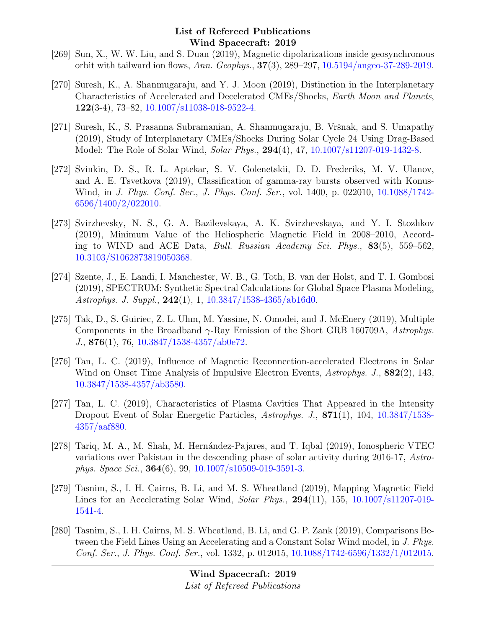- [269] Sun, X., W. W. Liu, and S. Duan (2019), Magnetic dipolarizations inside geosynchronous orbit with tailward ion flows, Ann. Geophys., 37(3), 289–297, [10.5194/angeo-37-289-2019.](http://dx.doi.org/10.5194/angeo-37-289-2019)
- [270] Suresh, K., A. Shanmugaraju, and Y. J. Moon (2019), Distinction in the Interplanetary Characteristics of Accelerated and Decelerated CMEs/Shocks, Earth Moon and Planets, 122(3-4), 73–82, [10.1007/s11038-018-9522-4.](http://dx.doi.org/10.1007/s11038-018-9522-4)
- [271] Suresh, K., S. Prasanna Subramanian, A. Shanmugaraju, B. Vršnak, and S. Umapathy (2019), Study of Interplanetary CMEs/Shocks During Solar Cycle 24 Using Drag-Based Model: The Role of Solar Wind, Solar Phys., 294(4), 47, [10.1007/s11207-019-1432-8.](http://dx.doi.org/10.1007/s11207-019-1432-8)
- [272] Svinkin, D. S., R. L. Aptekar, S. V. Golenetskii, D. D. Frederiks, M. V. Ulanov, and A. E. Tsvetkova (2019), Classification of gamma-ray bursts observed with Konus-Wind, in J. Phys. Conf. Ser., J. Phys. Conf. Ser., vol. 1400, p. 022010, [10.1088/1742-](http://dx.doi.org/10.1088/1742-6596/1400/2/022010) [6596/1400/2/022010.](http://dx.doi.org/10.1088/1742-6596/1400/2/022010)
- [273] Svirzhevsky, N. S., G. A. Bazilevskaya, A. K. Svirzhevskaya, and Y. I. Stozhkov (2019), Minimum Value of the Heliospheric Magnetic Field in 2008–2010, According to WIND and ACE Data, Bull. Russian Academy Sci. Phys., 83(5), 559–562, [10.3103/S1062873819050368.](http://dx.doi.org/10.3103/S1062873819050368)
- [274] Szente, J., E. Landi, I. Manchester, W. B., G. Toth, B. van der Holst, and T. I. Gombosi (2019), SPECTRUM: Synthetic Spectral Calculations for Global Space Plasma Modeling, Astrophys. J. Suppl., 242(1), 1, [10.3847/1538-4365/ab16d0.](http://dx.doi.org/10.3847/1538-4365/ab16d0)
- [275] Tak, D., S. Guiriec, Z. L. Uhm, M. Yassine, N. Omodei, and J. McEnery (2019), Multiple Components in the Broadband  $\gamma$ -Ray Emission of the Short GRB 160709A, Astrophys. J., 876(1), 76, [10.3847/1538-4357/ab0e72.](http://dx.doi.org/10.3847/1538-4357/ab0e72)
- [276] Tan, L. C. (2019), Influence of Magnetic Reconnection-accelerated Electrons in Solar Wind on Onset Time Analysis of Impulsive Electron Events, Astrophys. J., 882(2), 143, [10.3847/1538-4357/ab3580.](http://dx.doi.org/10.3847/1538-4357/ab3580)
- [277] Tan, L. C. (2019), Characteristics of Plasma Cavities That Appeared in the Intensity Dropout Event of Solar Energetic Particles, Astrophys. J., 871(1), 104, [10.3847/1538-](http://dx.doi.org/10.3847/1538-4357/aaf880) [4357/aaf880.](http://dx.doi.org/10.3847/1538-4357/aaf880)
- [278] Tariq, M. A., M. Shah, M. Hernández-Pajares, and T. Iqbal (2019), Ionospheric VTEC variations over Pakistan in the descending phase of solar activity during 2016-17, Astrophys. Space Sci., 364(6), 99, [10.1007/s10509-019-3591-3.](http://dx.doi.org/10.1007/s10509-019-3591-3)
- [279] Tasnim, S., I. H. Cairns, B. Li, and M. S. Wheatland (2019), Mapping Magnetic Field Lines for an Accelerating Solar Wind, Solar Phys., 294(11), 155, [10.1007/s11207-019-](http://dx.doi.org/10.1007/s11207-019-1541-4) [1541-4.](http://dx.doi.org/10.1007/s11207-019-1541-4)
- [280] Tasnim, S., I. H. Cairns, M. S. Wheatland, B. Li, and G. P. Zank (2019), Comparisons Between the Field Lines Using an Accelerating and a Constant Solar Wind model, in J. Phys. Conf. Ser., J. Phys. Conf. Ser., vol. 1332, p. 012015, [10.1088/1742-6596/1332/1/012015.](http://dx.doi.org/10.1088/1742-6596/1332/1/012015)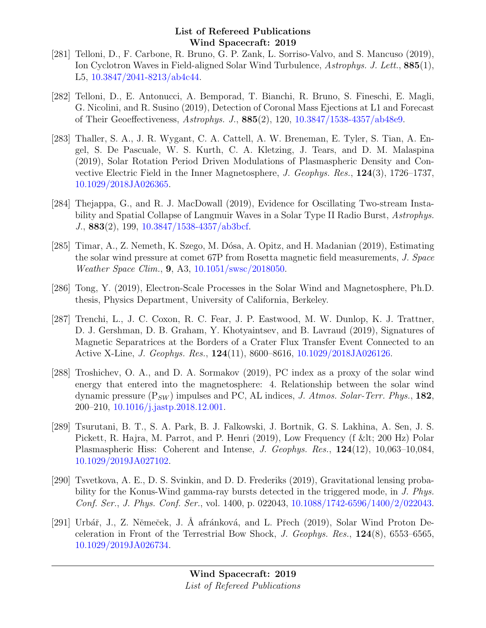- [281] Telloni, D., F. Carbone, R. Bruno, G. P. Zank, L. Sorriso-Valvo, and S. Mancuso (2019), Ion Cyclotron Waves in Field-aligned Solar Wind Turbulence, Astrophys. J. Lett., 885(1), L5, [10.3847/2041-8213/ab4c44.](http://dx.doi.org/10.3847/2041-8213/ab4c44)
- [282] Telloni, D., E. Antonucci, A. Bemporad, T. Bianchi, R. Bruno, S. Fineschi, E. Magli, G. Nicolini, and R. Susino (2019), Detection of Coronal Mass Ejections at L1 and Forecast of Their Geoeffectiveness, Astrophys. J., 885(2), 120, [10.3847/1538-4357/ab48e9.](http://dx.doi.org/10.3847/1538-4357/ab48e9)
- [283] Thaller, S. A., J. R. Wygant, C. A. Cattell, A. W. Breneman, E. Tyler, S. Tian, A. Engel, S. De Pascuale, W. S. Kurth, C. A. Kletzing, J. Tears, and D. M. Malaspina (2019), Solar Rotation Period Driven Modulations of Plasmaspheric Density and Convective Electric Field in the Inner Magnetosphere, J. Geophys. Res., 124(3), 1726–1737, [10.1029/2018JA026365.](http://dx.doi.org/10.1029/2018JA026365)
- [284] Thejappa, G., and R. J. MacDowall (2019), Evidence for Oscillating Two-stream Instability and Spatial Collapse of Langmuir Waves in a Solar Type II Radio Burst, Astrophys. J., 883(2), 199, [10.3847/1538-4357/ab3bcf.](http://dx.doi.org/10.3847/1538-4357/ab3bcf)
- [285] Timar, A., Z. Nemeth, K. Szego, M. Dósa, A. Opitz, and H. Madanian (2019), Estimating the solar wind pressure at comet 67P from Rosetta magnetic field measurements, J. Space Weather Space Clim., 9, A3, [10.1051/swsc/2018050.](http://dx.doi.org/10.1051/swsc/2018050)
- [286] Tong, Y. (2019), Electron-Scale Processes in the Solar Wind and Magnetosphere, Ph.D. thesis, Physics Department, University of California, Berkeley.
- [287] Trenchi, L., J. C. Coxon, R. C. Fear, J. P. Eastwood, M. W. Dunlop, K. J. Trattner, D. J. Gershman, D. B. Graham, Y. Khotyaintsev, and B. Lavraud (2019), Signatures of Magnetic Separatrices at the Borders of a Crater Flux Transfer Event Connected to an Active X-Line, J. Geophys. Res., 124(11), 8600–8616, [10.1029/2018JA026126.](http://dx.doi.org/10.1029/2018JA026126)
- [288] Troshichev, O. A., and D. A. Sormakov (2019), PC index as a proxy of the solar wind energy that entered into the magnetosphere: 4. Relationship between the solar wind dynamic pressure  $(P_{SW})$  impulses and PC, AL indices, J. Atmos. Solar-Terr. Phys., 182, 200–210, [10.1016/j.jastp.2018.12.001.](http://dx.doi.org/10.1016/j.jastp.2018.12.001)
- [289] Tsurutani, B. T., S. A. Park, B. J. Falkowski, J. Bortnik, G. S. Lakhina, A. Sen, J. S. Pickett, R. Hajra, M. Parrot, and P. Henri (2019), Low Frequency (f & lt; 200 Hz) Polar Plasmaspheric Hiss: Coherent and Intense, J. Geophys. Res., 124(12), 10,063–10,084, [10.1029/2019JA027102.](http://dx.doi.org/10.1029/2019JA027102)
- [290] Tsvetkova, A. E., D. S. Svinkin, and D. D. Frederiks (2019), Gravitational lensing probability for the Konus-Wind gamma-ray bursts detected in the triggered mode, in J. Phys. Conf. Ser., J. Phys. Conf. Ser., vol. 1400, p. 022043, [10.1088/1742-6596/1400/2/022043.](http://dx.doi.org/10.1088/1742-6596/1400/2/022043)
- [291] Urbář, J., Z. Němeček, J. Å afránková, and L. Přech (2019), Solar Wind Proton Deceleration in Front of the Terrestrial Bow Shock, J. Geophys. Res., 124(8), 6553–6565, [10.1029/2019JA026734.](http://dx.doi.org/10.1029/2019JA026734)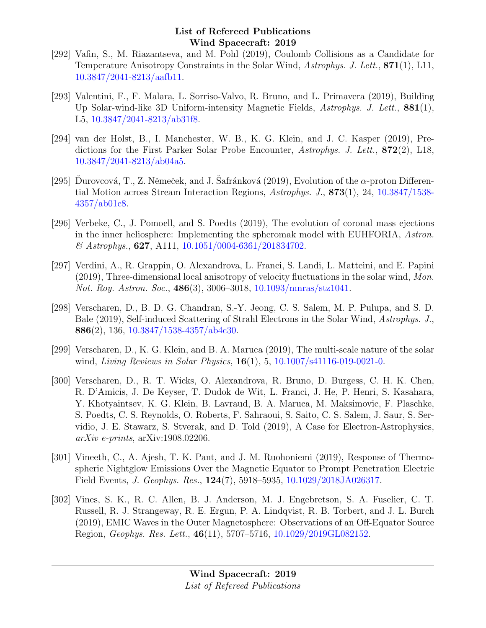- [292] Vafin, S., M. Riazantseva, and M. Pohl (2019), Coulomb Collisions as a Candidate for Temperature Anisotropy Constraints in the Solar Wind, Astrophys. J. Lett., 871(1), L11, [10.3847/2041-8213/aafb11.](http://dx.doi.org/10.3847/2041-8213/aafb11)
- [293] Valentini, F., F. Malara, L. Sorriso-Valvo, R. Bruno, and L. Primavera (2019), Building Up Solar-wind-like 3D Uniform-intensity Magnetic Fields, Astrophys. J. Lett., 881(1), L5, [10.3847/2041-8213/ab31f8.](http://dx.doi.org/10.3847/2041-8213/ab31f8)
- [294] van der Holst, B., I. Manchester, W. B., K. G. Klein, and J. C. Kasper (2019), Predictions for the First Parker Solar Probe Encounter, Astrophys. J. Lett., 872(2), L18, [10.3847/2041-8213/ab04a5.](http://dx.doi.org/10.3847/2041-8213/ab04a5)
- [295] Durovcová, T., Z. Němeček, and J. Safránková (2019), Evolution of the  $\alpha$ -proton Differential Motion across Stream Interaction Regions, Astrophys. J., 873(1), 24, [10.3847/1538-](http://dx.doi.org/10.3847/1538-4357/ab01c8) [4357/ab01c8.](http://dx.doi.org/10.3847/1538-4357/ab01c8)
- [296] Verbeke, C., J. Pomoell, and S. Poedts (2019), The evolution of coronal mass ejections in the inner heliosphere: Implementing the spheromak model with EUHFORIA, Astron.  $\&$  Astrophys., 627, A111, [10.1051/0004-6361/201834702.](http://dx.doi.org/10.1051/0004-6361/201834702)
- [297] Verdini, A., R. Grappin, O. Alexandrova, L. Franci, S. Landi, L. Matteini, and E. Papini  $(2019)$ , Three-dimensional local anisotropy of velocity fluctuations in the solar wind, Mon. Not. Roy. Astron. Soc., 486(3), 3006–3018, [10.1093/mnras/stz1041.](http://dx.doi.org/10.1093/mnras/stz1041)
- [298] Verscharen, D., B. D. G. Chandran, S.-Y. Jeong, C. S. Salem, M. P. Pulupa, and S. D. Bale (2019), Self-induced Scattering of Strahl Electrons in the Solar Wind, Astrophys. J., 886(2), 136,  $10.3847/1538-4357/ab4c30$ .
- [299] Verscharen, D., K. G. Klein, and B. A. Maruca (2019), The multi-scale nature of the solar wind, Living Reviews in Solar Physics, **16**(1), 5, [10.1007/s41116-019-0021-0.](http://dx.doi.org/10.1007/s41116-019-0021-0)
- [300] Verscharen, D., R. T. Wicks, O. Alexandrova, R. Bruno, D. Burgess, C. H. K. Chen, R. D'Amicis, J. De Keyser, T. Dudok de Wit, L. Franci, J. He, P. Henri, S. Kasahara, Y. Khotyaintsev, K. G. Klein, B. Lavraud, B. A. Maruca, M. Maksimovic, F. Plaschke, S. Poedts, C. S. Reynolds, O. Roberts, F. Sahraoui, S. Saito, C. S. Salem, J. Saur, S. Servidio, J. E. Stawarz, S. Stverak, and D. Told (2019), A Case for Electron-Astrophysics, arXiv e-prints, arXiv:1908.02206.
- [301] Vineeth, C., A. Ajesh, T. K. Pant, and J. M. Ruohoniemi (2019), Response of Thermospheric Nightglow Emissions Over the Magnetic Equator to Prompt Penetration Electric Field Events, J. Geophys. Res., 124(7), 5918–5935, [10.1029/2018JA026317.](http://dx.doi.org/10.1029/2018JA026317)
- [302] Vines, S. K., R. C. Allen, B. J. Anderson, M. J. Engebretson, S. A. Fuselier, C. T. Russell, R. J. Strangeway, R. E. Ergun, P. A. Lindqvist, R. B. Torbert, and J. L. Burch (2019), EMIC Waves in the Outer Magnetosphere: Observations of an Off-Equator Source Region, Geophys. Res. Lett., 46(11), 5707–5716, [10.1029/2019GL082152.](http://dx.doi.org/10.1029/2019GL082152)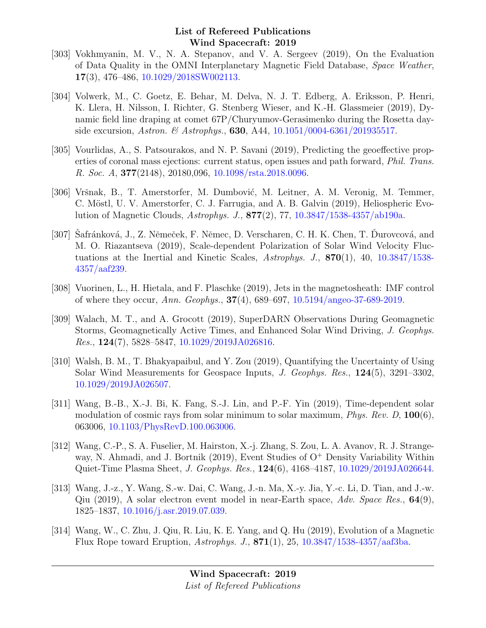- [303] Vokhmyanin, M. V., N. A. Stepanov, and V. A. Sergeev (2019), On the Evaluation of Data Quality in the OMNI Interplanetary Magnetic Field Database, Space Weather, 17(3), 476–486, [10.1029/2018SW002113.](http://dx.doi.org/10.1029/2018SW002113)
- [304] Volwerk, M., C. Goetz, E. Behar, M. Delva, N. J. T. Edberg, A. Eriksson, P. Henri, K. Llera, H. Nilsson, I. Richter, G. Stenberg Wieser, and K.-H. Glassmeier (2019), Dynamic field line draping at comet 67P/Churyumov-Gerasimenko during the Rosetta dayside excursion, *Astron.* & *Astrophys.*, **630**, A44,  $10.1051/0004-6361/201935517$ .
- [305] Vourlidas, A., S. Patsourakos, and N. P. Savani (2019), Predicting the geoeffective properties of coronal mass ejections: current status, open issues and path forward, Phil. Trans. R. Soc. A, 377(2148), 20180,096, [10.1098/rsta.2018.0096.](http://dx.doi.org/10.1098/rsta.2018.0096)
- [306] Vršnak, B., T. Amerstorfer, M. Dumbović, M. Leitner, A. M. Veronig, M. Temmer, C. Möstl, U. V. Amerstorfer, C. J. Farrugia, and A. B. Galvin (2019), Heliospheric Evolution of Magnetic Clouds, Astrophys. J., 877(2), 77, [10.3847/1538-4357/ab190a.](http://dx.doi.org/10.3847/1538-4357/ab190a)
- [307] Safránková, J., Z. Němeček, F. Němec, D. Verscharen, C. H. K. Chen, T. Durovcová, and M. O. Riazantseva (2019), Scale-dependent Polarization of Solar Wind Velocity Fluctuations at the Inertial and Kinetic Scales, Astrophys. J.,  $870(1)$ , 40,  $10.3847/1538$ -[4357/aaf239.](http://dx.doi.org/10.3847/1538-4357/aaf239)
- [308] Vuorinen, L., H. Hietala, and F. Plaschke (2019), Jets in the magnetosheath: IMF control of where they occur, Ann. Geophys., 37(4), 689–697, [10.5194/angeo-37-689-2019.](http://dx.doi.org/10.5194/angeo-37-689-2019)
- [309] Walach, M. T., and A. Grocott (2019), SuperDARN Observations During Geomagnetic Storms, Geomagnetically Active Times, and Enhanced Solar Wind Driving, J. Geophys. Res., 124(7), 5828–5847, [10.1029/2019JA026816.](http://dx.doi.org/10.1029/2019JA026816)
- [310] Walsh, B. M., T. Bhakyapaibul, and Y. Zou (2019), Quantifying the Uncertainty of Using Solar Wind Measurements for Geospace Inputs, J. Geophys. Res., 124(5), 3291–3302, [10.1029/2019JA026507.](http://dx.doi.org/10.1029/2019JA026507)
- [311] Wang, B.-B., X.-J. Bi, K. Fang, S.-J. Lin, and P.-F. Yin (2019), Time-dependent solar modulation of cosmic rays from solar minimum to solar maximum, *Phys. Rev. D*,  $100(6)$ , 063006, [10.1103/PhysRevD.100.063006.](http://dx.doi.org/10.1103/PhysRevD.100.063006)
- [312] Wang, C.-P., S. A. Fuselier, M. Hairston, X.-j. Zhang, S. Zou, L. A. Avanov, R. J. Strangeway, N. Ahmadi, and J. Bortnik (2019), Event Studies of  $O<sup>+</sup>$  Density Variability Within Quiet-Time Plasma Sheet, J. Geophys. Res., 124(6), 4168–4187, [10.1029/2019JA026644.](http://dx.doi.org/10.1029/2019JA026644)
- [313] Wang, J.-z., Y. Wang, S.-w. Dai, C. Wang, J.-n. Ma, X.-y. Jia, Y.-c. Li, D. Tian, and J.-w. Qiu (2019), A solar electron event model in near-Earth space,  $Adv. Space Res., 64(9),$ 1825–1837, [10.1016/j.asr.2019.07.039.](http://dx.doi.org/10.1016/j.asr.2019.07.039)
- [314] Wang, W., C. Zhu, J. Qiu, R. Liu, K. E. Yang, and Q. Hu (2019), Evolution of a Magnetic Flux Rope toward Eruption,  $Astrophys. J., 871(1), 25, 10.3847/1538-4357/aaf3ba.$  $Astrophys. J., 871(1), 25, 10.3847/1538-4357/aaf3ba.$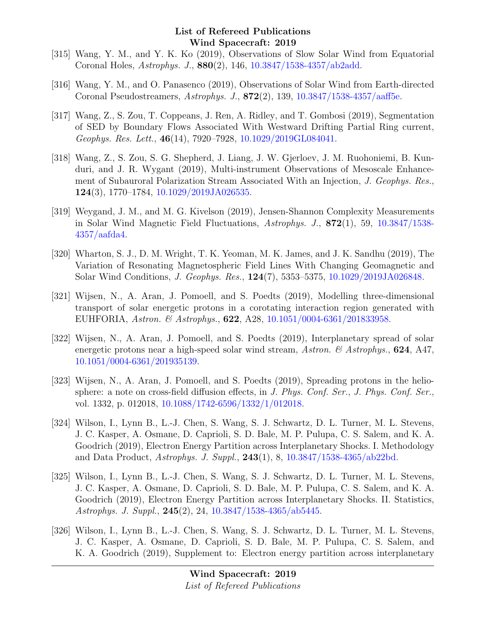- [315] Wang, Y. M., and Y. K. Ko (2019), Observations of Slow Solar Wind from Equatorial Coronal Holes, Astrophys. J., 880(2), 146, [10.3847/1538-4357/ab2add.](http://dx.doi.org/10.3847/1538-4357/ab2add)
- [316] Wang, Y. M., and O. Panasenco (2019), Observations of Solar Wind from Earth-directed Coronal Pseudostreamers, Astrophys. J., 872(2), 139, [10.3847/1538-4357/aaff5e.](http://dx.doi.org/10.3847/1538-4357/aaff5e)
- [317] Wang, Z., S. Zou, T. Coppeans, J. Ren, A. Ridley, and T. Gombosi (2019), Segmentation of SED by Boundary Flows Associated With Westward Drifting Partial Ring current, Geophys. Res. Lett., 46(14), 7920–7928, [10.1029/2019GL084041.](http://dx.doi.org/10.1029/2019GL084041)
- [318] Wang, Z., S. Zou, S. G. Shepherd, J. Liang, J. W. Gjerloev, J. M. Ruohoniemi, B. Kunduri, and J. R. Wygant (2019), Multi-instrument Observations of Mesoscale Enhancement of Subauroral Polarization Stream Associated With an Injection, J. Geophys. Res., 124(3), 1770–1784, [10.1029/2019JA026535.](http://dx.doi.org/10.1029/2019JA026535)
- [319] Weygand, J. M., and M. G. Kivelson (2019), Jensen-Shannon Complexity Measurements in Solar Wind Magnetic Field Fluctuations, Astrophys. J., 872(1), 59, [10.3847/1538-](http://dx.doi.org/10.3847/1538-4357/aafda4) [4357/aafda4.](http://dx.doi.org/10.3847/1538-4357/aafda4)
- [320] Wharton, S. J., D. M. Wright, T. K. Yeoman, M. K. James, and J. K. Sandhu (2019), The Variation of Resonating Magnetospheric Field Lines With Changing Geomagnetic and Solar Wind Conditions, J. Geophys. Res., 124(7), 5353–5375, [10.1029/2019JA026848.](http://dx.doi.org/10.1029/2019JA026848)
- [321] Wijsen, N., A. Aran, J. Pomoell, and S. Poedts (2019), Modelling three-dimensional transport of solar energetic protons in a corotating interaction region generated with EUHFORIA, Astron. & Astrophys., **622**, A28, [10.1051/0004-6361/201833958.](http://dx.doi.org/10.1051/0004-6361/201833958)
- [322] Wijsen, N., A. Aran, J. Pomoell, and S. Poedts (2019), Interplanetary spread of solar energetic protons near a high-speed solar wind stream, Astron.  $\&$  Astrophys., 624, A47, [10.1051/0004-6361/201935139.](http://dx.doi.org/10.1051/0004-6361/201935139)
- [323] Wijsen, N., A. Aran, J. Pomoell, and S. Poedts (2019), Spreading protons in the heliosphere: a note on cross-field diffusion effects, in J. Phys. Conf. Ser., J. Phys. Conf. Ser., vol. 1332, p. 012018, [10.1088/1742-6596/1332/1/012018.](http://dx.doi.org/10.1088/1742-6596/1332/1/012018)
- [324] Wilson, I., Lynn B., L.-J. Chen, S. Wang, S. J. Schwartz, D. L. Turner, M. L. Stevens, J. C. Kasper, A. Osmane, D. Caprioli, S. D. Bale, M. P. Pulupa, C. S. Salem, and K. A. Goodrich (2019), Electron Energy Partition across Interplanetary Shocks. I. Methodology and Data Product, Astrophys. J. Suppl., 243(1), 8, [10.3847/1538-4365/ab22bd.](http://dx.doi.org/10.3847/1538-4365/ab22bd)
- [325] Wilson, I., Lynn B., L.-J. Chen, S. Wang, S. J. Schwartz, D. L. Turner, M. L. Stevens, J. C. Kasper, A. Osmane, D. Caprioli, S. D. Bale, M. P. Pulupa, C. S. Salem, and K. A. Goodrich (2019), Electron Energy Partition across Interplanetary Shocks. II. Statistics, Astrophys. J. Suppl., 245(2), 24, [10.3847/1538-4365/ab5445.](http://dx.doi.org/10.3847/1538-4365/ab5445)
- [326] Wilson, I., Lynn B., L.-J. Chen, S. Wang, S. J. Schwartz, D. L. Turner, M. L. Stevens, J. C. Kasper, A. Osmane, D. Caprioli, S. D. Bale, M. P. Pulupa, C. S. Salem, and K. A. Goodrich (2019), Supplement to: Electron energy partition across interplanetary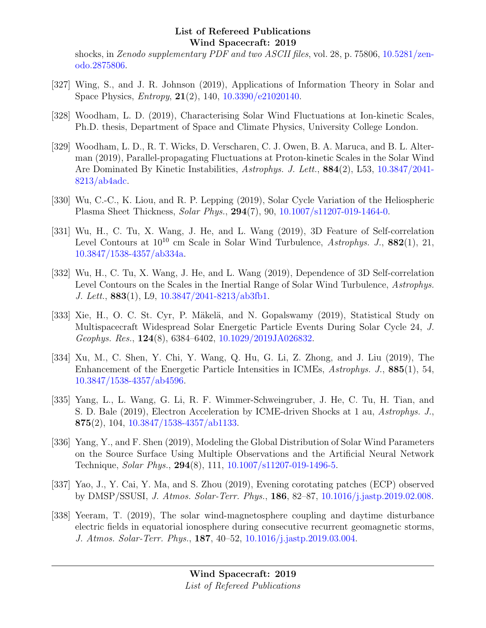shocks, in Zenodo supplementary PDF and two ASCII files, vol. 28, p. 75806, [10.5281/zen](http://dx.doi.org/10.5281/zenodo.2875806)[odo.2875806.](http://dx.doi.org/10.5281/zenodo.2875806)

- [327] Wing, S., and J. R. Johnson (2019), Applications of Information Theory in Solar and Space Physics, Entropy, 21(2), 140, [10.3390/e21020140.](http://dx.doi.org/10.3390/e21020140)
- [328] Woodham, L. D. (2019), Characterising Solar Wind Fluctuations at Ion-kinetic Scales, Ph.D. thesis, Department of Space and Climate Physics, University College London.
- [329] Woodham, L. D., R. T. Wicks, D. Verscharen, C. J. Owen, B. A. Maruca, and B. L. Alterman (2019), Parallel-propagating Fluctuations at Proton-kinetic Scales in the Solar Wind Are Dominated By Kinetic Instabilities, Astrophys. J. Lett., 884(2), L53, [10.3847/2041-](http://dx.doi.org/10.3847/2041-8213/ab4adc) [8213/ab4adc.](http://dx.doi.org/10.3847/2041-8213/ab4adc)
- [330] Wu, C.-C., K. Liou, and R. P. Lepping (2019), Solar Cycle Variation of the Heliospheric Plasma Sheet Thickness, Solar Phys., 294(7), 90, [10.1007/s11207-019-1464-0.](http://dx.doi.org/10.1007/s11207-019-1464-0)
- [331] Wu, H., C. Tu, X. Wang, J. He, and L. Wang (2019), 3D Feature of Self-correlation Level Contours at  $10^{10}$  cm Scale in Solar Wind Turbulence, Astrophys. J.,  $882(1)$ , 21, [10.3847/1538-4357/ab334a.](http://dx.doi.org/10.3847/1538-4357/ab334a)
- [332] Wu, H., C. Tu, X. Wang, J. He, and L. Wang (2019), Dependence of 3D Self-correlation Level Contours on the Scales in the Inertial Range of Solar Wind Turbulence, Astrophys. J. Lett., 883(1), L9, [10.3847/2041-8213/ab3fb1.](http://dx.doi.org/10.3847/2041-8213/ab3fb1)
- [333] Xie, H., O. C. St. Cyr, P. Mäkelä, and N. Gopalswamy (2019), Statistical Study on Multispacecraft Widespread Solar Energetic Particle Events During Solar Cycle 24, J. Geophys. Res., 124(8), 6384–6402, [10.1029/2019JA026832.](http://dx.doi.org/10.1029/2019JA026832)
- [334] Xu, M., C. Shen, Y. Chi, Y. Wang, Q. Hu, G. Li, Z. Zhong, and J. Liu (2019), The Enhancement of the Energetic Particle Intensities in ICMEs, Astrophys. J., 885(1), 54, [10.3847/1538-4357/ab4596.](http://dx.doi.org/10.3847/1538-4357/ab4596)
- [335] Yang, L., L. Wang, G. Li, R. F. Wimmer-Schweingruber, J. He, C. Tu, H. Tian, and S. D. Bale (2019), Electron Acceleration by ICME-driven Shocks at 1 au, Astrophys. J., 875(2), 104, [10.3847/1538-4357/ab1133.](http://dx.doi.org/10.3847/1538-4357/ab1133)
- [336] Yang, Y., and F. Shen (2019), Modeling the Global Distribution of Solar Wind Parameters on the Source Surface Using Multiple Observations and the Artificial Neural Network Technique, Solar Phys., 294(8), 111, [10.1007/s11207-019-1496-5.](http://dx.doi.org/10.1007/s11207-019-1496-5)
- [337] Yao, J., Y. Cai, Y. Ma, and S. Zhou (2019), Evening corotating patches (ECP) observed by DMSP/SSUSI, J. Atmos. Solar-Terr. Phys., 186, 82–87, [10.1016/j.jastp.2019.02.008.](http://dx.doi.org/10.1016/j.jastp.2019.02.008)
- [338] Yeeram, T. (2019), The solar wind-magnetosphere coupling and daytime disturbance electric fields in equatorial ionosphere during consecutive recurrent geomagnetic storms, J. Atmos. Solar-Terr. Phys., 187, 40–52, [10.1016/j.jastp.2019.03.004.](http://dx.doi.org/10.1016/j.jastp.2019.03.004)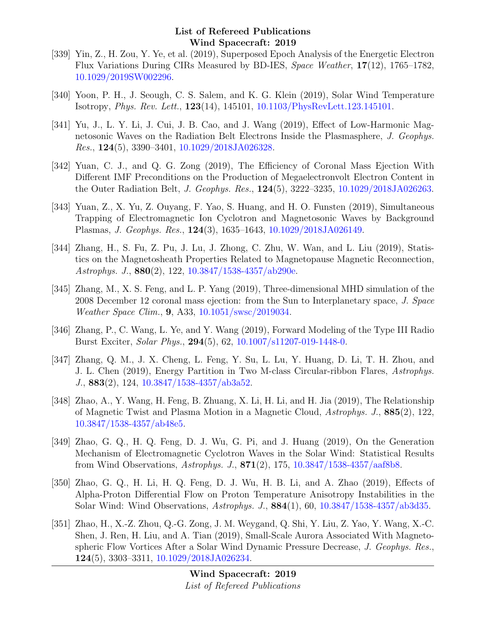- [339] Yin, Z., H. Zou, Y. Ye, et al. (2019), Superposed Epoch Analysis of the Energetic Electron Flux Variations During CIRs Measured by BD-IES, Space Weather, 17(12), 1765–1782, [10.1029/2019SW002296.](http://dx.doi.org/10.1029/2019SW002296)
- [340] Yoon, P. H., J. Seough, C. S. Salem, and K. G. Klein (2019), Solar Wind Temperature Isotropy, Phys. Rev. Lett., 123(14), 145101, [10.1103/PhysRevLett.123.145101.](http://dx.doi.org/10.1103/PhysRevLett.123.145101)
- [341] Yu, J., L. Y. Li, J. Cui, J. B. Cao, and J. Wang (2019), Effect of Low-Harmonic Magnetosonic Waves on the Radiation Belt Electrons Inside the Plasmasphere, J. Geophys. Res., 124(5), 3390–3401, [10.1029/2018JA026328.](http://dx.doi.org/10.1029/2018JA026328)
- [342] Yuan, C. J., and Q. G. Zong (2019), The Efficiency of Coronal Mass Ejection With Different IMF Preconditions on the Production of Megaelectronvolt Electron Content in the Outer Radiation Belt, J. Geophys. Res., 124(5), 3222–3235, [10.1029/2018JA026263.](http://dx.doi.org/10.1029/2018JA026263)
- [343] Yuan, Z., X. Yu, Z. Ouyang, F. Yao, S. Huang, and H. O. Funsten (2019), Simultaneous Trapping of Electromagnetic Ion Cyclotron and Magnetosonic Waves by Background Plasmas, J. Geophys. Res., 124(3), 1635–1643, [10.1029/2018JA026149.](http://dx.doi.org/10.1029/2018JA026149)
- [344] Zhang, H., S. Fu, Z. Pu, J. Lu, J. Zhong, C. Zhu, W. Wan, and L. Liu (2019), Statistics on the Magnetosheath Properties Related to Magnetopause Magnetic Reconnection, Astrophys. J., 880(2), 122, [10.3847/1538-4357/ab290e.](http://dx.doi.org/10.3847/1538-4357/ab290e)
- [345] Zhang, M., X. S. Feng, and L. P. Yang (2019), Three-dimensional MHD simulation of the 2008 December 12 coronal mass ejection: from the Sun to Interplanetary space, J. Space Weather Space Clim., 9, A33, [10.1051/swsc/2019034.](http://dx.doi.org/10.1051/swsc/2019034)
- [346] Zhang, P., C. Wang, L. Ye, and Y. Wang (2019), Forward Modeling of the Type III Radio Burst Exciter, Solar Phys., 294(5), 62, [10.1007/s11207-019-1448-0.](http://dx.doi.org/10.1007/s11207-019-1448-0)
- [347] Zhang, Q. M., J. X. Cheng, L. Feng, Y. Su, L. Lu, Y. Huang, D. Li, T. H. Zhou, and J. L. Chen (2019), Energy Partition in Two M-class Circular-ribbon Flares, Astrophys. J., 883(2), 124, [10.3847/1538-4357/ab3a52.](http://dx.doi.org/10.3847/1538-4357/ab3a52)
- [348] Zhao, A., Y. Wang, H. Feng, B. Zhuang, X. Li, H. Li, and H. Jia (2019), The Relationship of Magnetic Twist and Plasma Motion in a Magnetic Cloud, Astrophys. J., 885(2), 122, [10.3847/1538-4357/ab48e5.](http://dx.doi.org/10.3847/1538-4357/ab48e5)
- [349] Zhao, G. Q., H. Q. Feng, D. J. Wu, G. Pi, and J. Huang (2019), On the Generation Mechanism of Electromagnetic Cyclotron Waves in the Solar Wind: Statistical Results from Wind Observations,  $A \, stronglys. J., 871(2), 175, 10.3847/1538-4357/aaf8b8.$  $A \, stronglys. J., 871(2), 175, 10.3847/1538-4357/aaf8b8.$
- [350] Zhao, G. Q., H. Li, H. Q. Feng, D. J. Wu, H. B. Li, and A. Zhao (2019), Effects of Alpha-Proton Differential Flow on Proton Temperature Anisotropy Instabilities in the Solar Wind: Wind Observations, Astrophys. J., 884(1), 60, [10.3847/1538-4357/ab3d35.](http://dx.doi.org/10.3847/1538-4357/ab3d35)
- [351] Zhao, H., X.-Z. Zhou, Q.-G. Zong, J. M. Weygand, Q. Shi, Y. Liu, Z. Yao, Y. Wang, X.-C. Shen, J. Ren, H. Liu, and A. Tian (2019), Small-Scale Aurora Associated With Magnetospheric Flow Vortices After a Solar Wind Dynamic Pressure Decrease, J. Geophys. Res., 124(5), 3303–3311, [10.1029/2018JA026234.](http://dx.doi.org/10.1029/2018JA026234)